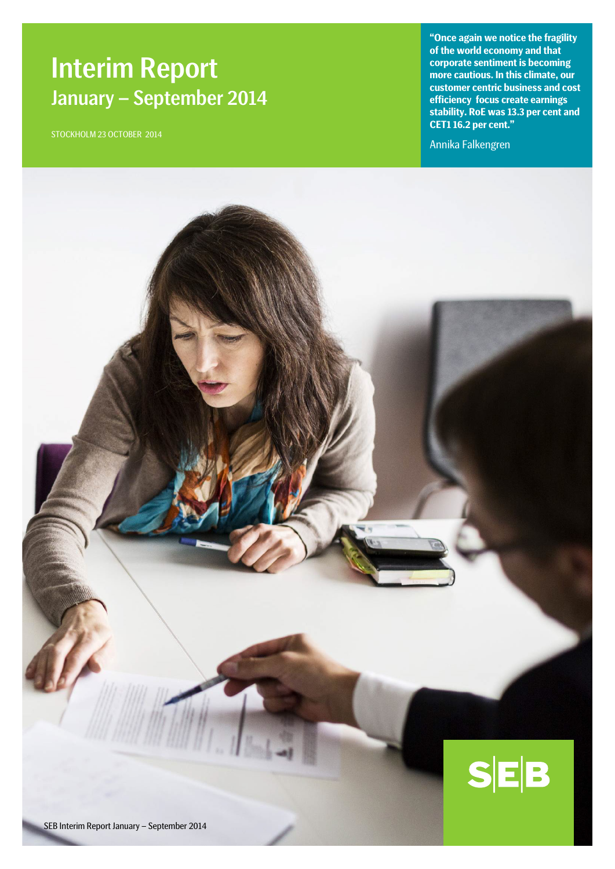# Interim Report January – September 2014

STOCKHOLM 23 OCTOBER 2014

**"Once again we notice the fragility of the world economy and that corporate sentiment is becoming more cautious. In this climate, our customer centric business and cost efficiency focus create earnings stability. RoE was 13.3 per cent and CET1 16.2 per cent."**

Annika Falkengren

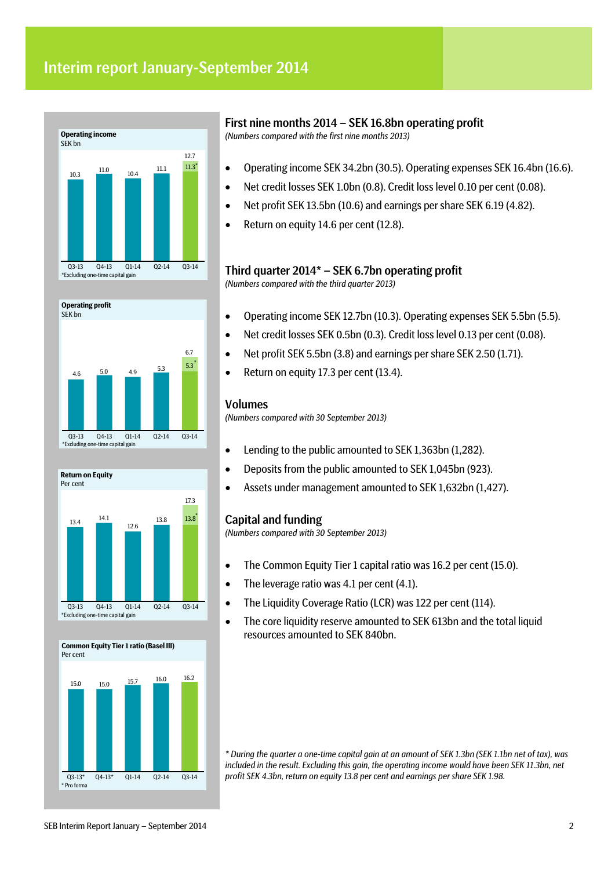







# First nine months 2014 – SEK 16.8bn operating profit

*(Numbers compared with the first nine months 2013)*

- Operating income SEK 34.2bn (30.5). Operating expenses SEK 16.4bn (16.6).
- Net credit losses SEK 1.0bn (0.8). Credit loss level 0.10 per cent (0.08).
- Net profit SEK 13.5bn (10.6) and earnings per share SEK 6.19 (4.82).
- Return on equity 14.6 per cent (12.8).

# Third quarter 2014\* – SEK 6.7bn operating profit

*(Numbers compared with the third quarter 2013)*

- Operating income SEK 12.7bn (10.3). Operating expenses SEK 5.5bn (5.5).
- Net credit losses SEK 0.5bn (0.3). Credit loss level 0.13 per cent (0.08).
- Net profit SEK 5.5bn (3.8) and earnings per share SEK 2.50 (1.71).
- Return on equity 17.3 per cent (13.4).

## Volumes

*(Numbers compared with 30 September 2013)*

- Lending to the public amounted to SEK 1,363bn (1,282).
- Deposits from the public amounted to SEK 1,045bn (923).
- Assets under management amounted to SEK 1,632bn (1,427).

# Capital and funding

*(Numbers compared with 30 September 2013)*

- The Common Equity Tier 1 capital ratio was 16.2 per cent (15.0).
- The leverage ratio was 4.1 per cent (4.1).
- The Liquidity Coverage Ratio (LCR) was 122 per cent (114).
- The core liquidity reserve amounted to SEK 613bn and the total liquid resources amounted to SEK 840bn.

*\* During the quarter a one-time capital gain at an amount of SEK 1.3bn (SEK 1.1bn net of tax), was included in the result. Excluding this gain, the operating income would have been SEK 11.3bn, net profit SEK 4.3bn, return on equity 13.8 per cent and earnings per share SEK 1.98.*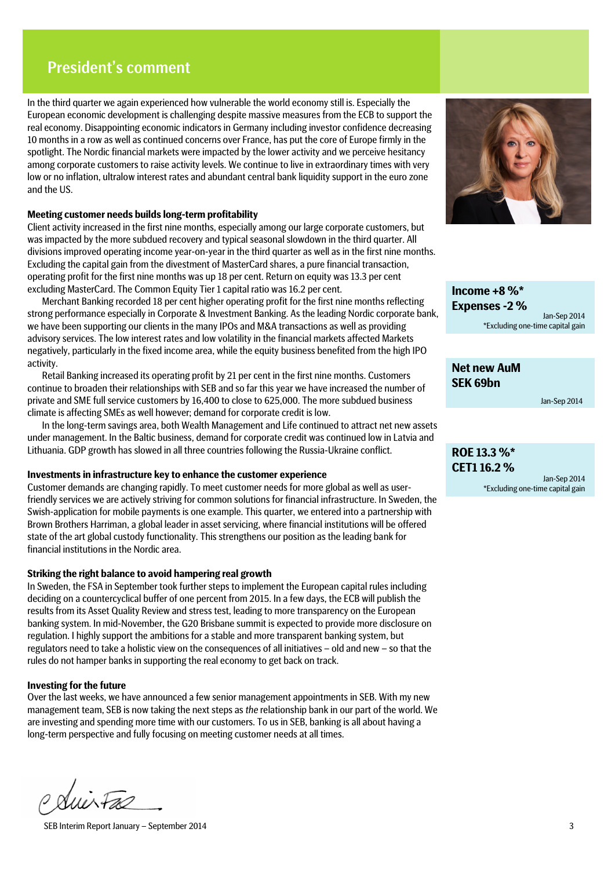# President's comment

In the third quarter we again experienced how vulnerable the world economy still is. Especially the European economic development is challenging despite massive measures from the ECB to support the real economy. Disappointing economic indicators in Germany including investor confidence decreasing 10 months in a row as well as continued concerns over France, has put the core of Europe firmly in the spotlight. The Nordic financial markets were impacted by the lower activity and we perceive hesitancy among corporate customers to raise activity levels. We continue to live in extraordinary times with very low or no inflation, ultralow interest rates and abundant central bank liquidity support in the euro zone and the US.

### **Meeting customer needs builds long-term profitability**

Client activity increased in the first nine months, especially among our large corporate customers, but was impacted by the more subdued recovery and typical seasonal slowdown in the third quarter. All divisions improved operating income year-on-year in the third quarter as well as in the first nine months. Excluding the capital gain from the divestment of MasterCard shares, a pure financial transaction, operating profit for the first nine months was up 18 per cent. Return on equity was 13.3 per cent excluding MasterCard. The Common Equity Tier 1 capital ratio was 16.2 per cent.

Merchant Banking recorded 18 per cent higher operating profit for the first nine months reflecting strong performance especially in Corporate & Investment Banking. As the leading Nordic corporate bank, we have been supporting our clients in the many IPOs and M&A transactions as well as providing advisory services. The low interest rates and low volatility in the financial markets affected Markets negatively, particularly in the fixed income area, while the equity business benefited from the high IPO activity.

Retail Banking increased its operating profit by 21 per cent in the first nine months. Customers continue to broaden their relationships with SEB and so far this year we have increased the number of private and SME full service customers by 16,400 to close to 625,000. The more subdued business climate is affecting SMEs as well however; demand for corporate credit is low.

In the long-term savings area, both Wealth Management and Life continued to attract net new assets under management. In the Baltic business, demand for corporate credit was continued low in Latvia and Lithuania. GDP growth has slowed in all three countries following the Russia-Ukraine conflict.

### **Investments in infrastructure key to enhance the customer experience**

Customer demands are changing rapidly. To meet customer needs for more global as well as userfriendly services we are actively striving for common solutions for financial infrastructure. In Sweden, the Swish-application for mobile payments is one example. This quarter, we entered into a partnership with Brown Brothers Harriman, a global leader in asset servicing, where financial institutions will be offered state of the art global custody functionality. This strengthens our position as the leading bank for financial institutions in the Nordic area.

### **Striking the right balance to avoid hampering real growth**

In Sweden, the FSA in September took further steps to implement the European capital rules including deciding on a countercyclical buffer of one percent from 2015. In a few days, the ECB will publish the results from its Asset Quality Review and stress test, leading to more transparency on the European banking system. In mid-November, the G20 Brisbane summit is expected to provide more disclosure on regulation. I highly support the ambitions for a stable and more transparent banking system, but regulators need to take a holistic view on the consequences of all initiatives – old and new – so that the rules do not hamper banks in supporting the real economy to get back on track.

### **Investing for the future**

Over the last weeks, we have announced a few senior management appointments in SEB. With my new management team, SEB is now taking the next steps as *the* relationship bank in our part of the world. We are investing and spending more time with our customers. To us in SEB, banking is all about having a long-term perspective and fully focusing on meeting customer needs at all times.

 $\forall u\dot{\nu}\nabla x$ 

SEB Interim Report January – September 2014 3



**Income +8 %\* Expenses -2 %** Jan-Sep 2014 \*Excluding one-time capital gain

**Net new AuM SEK 69bn**

Jan-Sep 2014

# **ROE 13.3 %\* CET1 16.2 %**

Jan-Sep 2014 \*Excluding one-time capital gain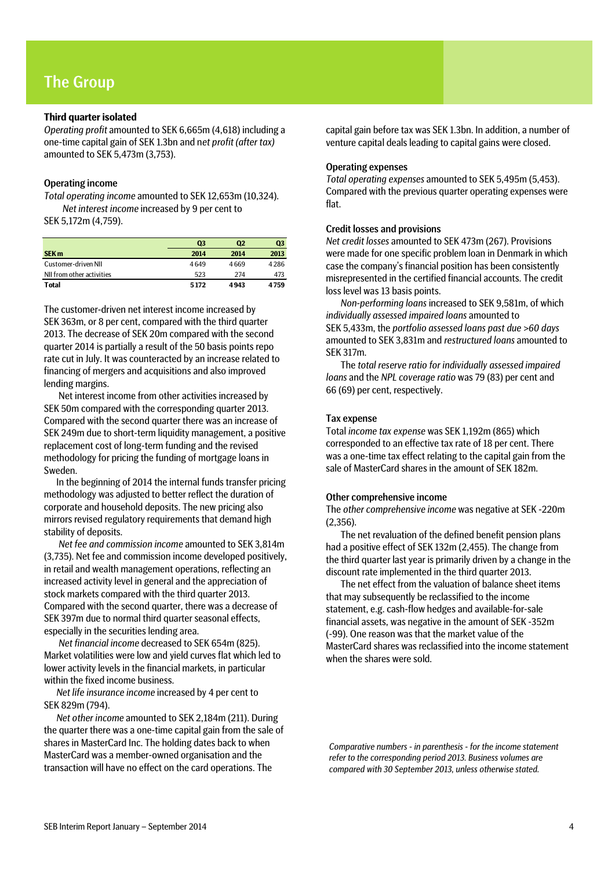# The Group

### **Third quarter isolated**

*Operating profit* amounted to SEK 6,665m (4,618) including a one-time capital gain of SEK 1.3bn and n*et profit (after tax)* amounted to SEK 5,473m (3,753).

### Operating income

*Total operating income* amounted to SEK 12,653m (10,324). *Net interest income* increased by 9 per cent to SEK 5,172m (4,759).

|                           | Q3   | Q2   | Q3   |
|---------------------------|------|------|------|
| SEK <sub>m</sub>          | 2014 | 2014 | 2013 |
| Customer-driven NII       | 4649 | 4669 | 4286 |
| NII from other activities | 523  | 274  | 473  |
| <b>Total</b>              | 5172 | 4943 | 4759 |

The customer-driven net interest income increased by SEK 363m, or 8 per cent, compared with the third quarter 2013. The decrease of SEK 20m compared with the second quarter 2014 is partially a result of the 50 basis points repo rate cut in July. It was counteracted by an increase related to financing of mergers and acquisitions and also improved lending margins.

Net interest income from other activities increased by SEK 50m compared with the corresponding quarter 2013. Compared with the second quarter there was an increase of SEK 249m due to short-term liquidity management, a positive replacement cost of long-term funding and the revised methodology for pricing the funding of mortgage loans in Sweden.

In the beginning of 2014 the internal funds transfer pricing methodology was adjusted to better reflect the duration of corporate and household deposits. The new pricing also mirrors revised regulatory requirements that demand high stability of deposits.

*Net fee and commission income* amounted to SEK 3,814m (3,735). Net fee and commission income developed positively, in retail and wealth management operations, reflecting an increased activity level in general and the appreciation of stock markets compared with the third quarter 2013. Compared with the second quarter, there was a decrease of SEK 397m due to normal third quarter seasonal effects, especially in the securities lending area.

*Net financial income* decreased to SEK 654m (825). Market volatilities were low and yield curves flat which led to lower activity levels in the financial markets, in particular within the fixed income business.

*Net life insurance income* increased by 4 per cent to SEK 829m (794).

*Net other income* amounted to SEK 2,184m (211). During the quarter there was a one-time capital gain from the sale of shares in MasterCard Inc. The holding dates back to when MasterCard was a member-owned organisation and the transaction will have no effect on the card operations. The

capital gain before tax was SEK 1.3bn. In addition, a number of venture capital deals leading to capital gains were closed.

#### Operating expenses

*Total operating expenses* amounted to SEK 5,495m (5,453). Compared with the previous quarter operating expenses were flat.

### Credit losses and provisions

*Net credit losses* amounted to SEK 473m (267). Provisions were made for one specific problem loan in Denmark in which case the company's financial position has been consistently misrepresented in the certified financial accounts. The credit loss level was 13 basis points.

*Non-performing loans* increased to SEK 9,581m, of which *individually assessed impaired loans* amounted to SEK 5,433m, the *portfolio assessed loans past due >60 days* amounted to SEK 3,831m and *restructured loans* amounted to SEK 317m.

The *total reserve ratio for individually assessed impaired loans* and the *NPL coverage ratio* was 79 (83) per cent and 66 (69) per cent, respectively.

### Tax expense

Total *income tax expense* was SEK 1,192m (865) which corresponded to an effective tax rate of 18 per cent. There was a one-time tax effect relating to the capital gain from the sale of MasterCard shares in the amount of SEK 182m.

### Other comprehensive income

The *other comprehensive income* was negative at SEK -220m (2,356).

The net revaluation of the defined benefit pension plans had a positive effect of SEK 132m (2,455). The change from the third quarter last year is primarily driven by a change in the discount rate implemented in the third quarter 2013.

The net effect from the valuation of balance sheet items that may subsequently be reclassified to the income statement, e.g. cash-flow hedges and available-for-sale financial assets, was negative in the amount of SEK -352m (-99). One reason was that the market value of the MasterCard shares was reclassified into the income statement when the shares were sold.

*Comparative numbers - in parenthesis - for the income statement refer to the corresponding period 2013. Business volumes are compared with 30 September 2013, unless otherwise stated.*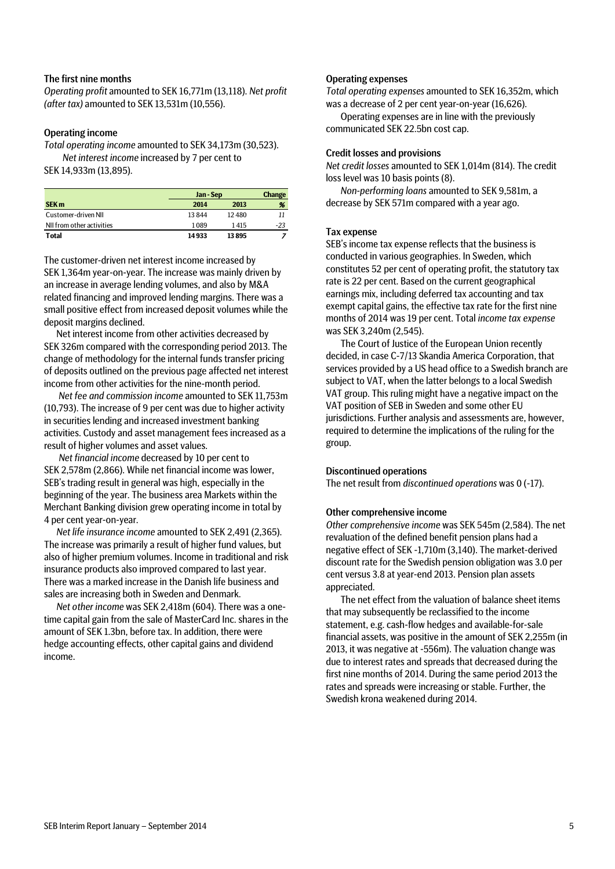### The first nine months

*Operating profit* amounted to SEK 16,771m (13,118). *Net profit (after tax)* amounted to SEK 13,531m (10,556).

### Operating income

*Total operating income* amounted to SEK 34,173m (30,523). *Net interest income* increased by 7 per cent to SEK 14,933m (13,895).

|                           |       | Jan - Sep |       |  |
|---------------------------|-------|-----------|-------|--|
| SEK <sub>m</sub>          | 2014  | 2013      | %     |  |
| Customer-driven NII       | 13844 | 12480     | 11    |  |
| NII from other activities | 1089  | 1415      | $-23$ |  |
| Total                     | 14933 | 13895     |       |  |

The customer-driven net interest income increased by SEK 1,364m year-on-year. The increase was mainly driven by an increase in average lending volumes, and also by M&A related financing and improved lending margins. There was a small positive effect from increased deposit volumes while the deposit margins declined.

Net interest income from other activities decreased by SEK 326m compared with the corresponding period 2013. The change of methodology for the internal funds transfer pricing of deposits outlined on the previous page affected net interest income from other activities for the nine-month period.

*Net fee and commission income* amounted to SEK 11,753m (10,793). The increase of 9 per cent was due to higher activity in securities lending and increased investment banking activities. Custody and asset management fees increased as a result of higher volumes and asset values.

*Net financial income* decreased by 10 per cent to SEK 2,578m (2,866). While net financial income was lower, SEB's trading result in general was high, especially in the beginning of the year. The business area Markets within the Merchant Banking division grew operating income in total by 4 per cent year-on-year.

*Net life insurance income* amounted to SEK 2,491 (2,365). The increase was primarily a result of higher fund values, but also of higher premium volumes. Income in traditional and risk insurance products also improved compared to last year. There was a marked increase in the Danish life business and sales are increasing both in Sweden and Denmark.

*Net other income* was SEK 2,418m (604). There was a onetime capital gain from the sale of MasterCard Inc. shares in the amount of SEK 1.3bn, before tax. In addition, there were hedge accounting effects, other capital gains and dividend income.

## Operating expenses

*Total operating expenses* amounted to SEK 16,352m, which was a decrease of 2 per cent year-on-year (16,626).

Operating expenses are in line with the previously communicated SEK 22.5bn cost cap.

### Credit losses and provisions

*Net credit losses* amounted to SEK 1,014m (814). The credit loss level was 10 basis points (8).

*Non-performing loans* amounted to SEK 9,581m, a decrease by SEK 571m compared with a year ago.

### Tax expense

SEB's income tax expense reflects that the business is conducted in various geographies. In Sweden, which constitutes 52 per cent of operating profit, the statutory tax rate is 22 per cent. Based on the current geographical earnings mix, including deferred tax accounting and tax exempt capital gains, the effective tax rate for the first nine months of 2014 was 19 per cent. Total *income tax expense* was SEK 3,240m (2,545).

The Court of Justice of the European Union recently decided, in case C-7/13 Skandia America Corporation, that services provided by a US head office to a Swedish branch are subject to VAT, when the latter belongs to a local Swedish VAT group. This ruling might have a negative impact on the VAT position of SEB in Sweden and some other EU jurisdictions. Further analysis and assessments are, however, required to determine the implications of the ruling for the group.

### Discontinued operations

The net result from *discontinued operations* was 0 (-17).

### Other comprehensive income

*Other comprehensive income* was SEK 545m (2,584). The net revaluation of the defined benefit pension plans had a negative effect of SEK -1,710m (3,140). The market-derived discount rate for the Swedish pension obligation was 3.0 per cent versus 3.8 at year-end 2013. Pension plan assets appreciated.

The net effect from the valuation of balance sheet items that may subsequently be reclassified to the income statement, e.g. cash-flow hedges and available-for-sale financial assets, was positive in the amount of SEK 2,255m (in 2013, it was negative at -556m). The valuation change was due to interest rates and spreads that decreased during the first nine months of 2014. During the same period 2013 the rates and spreads were increasing or stable. Further, the Swedish krona weakened during 2014.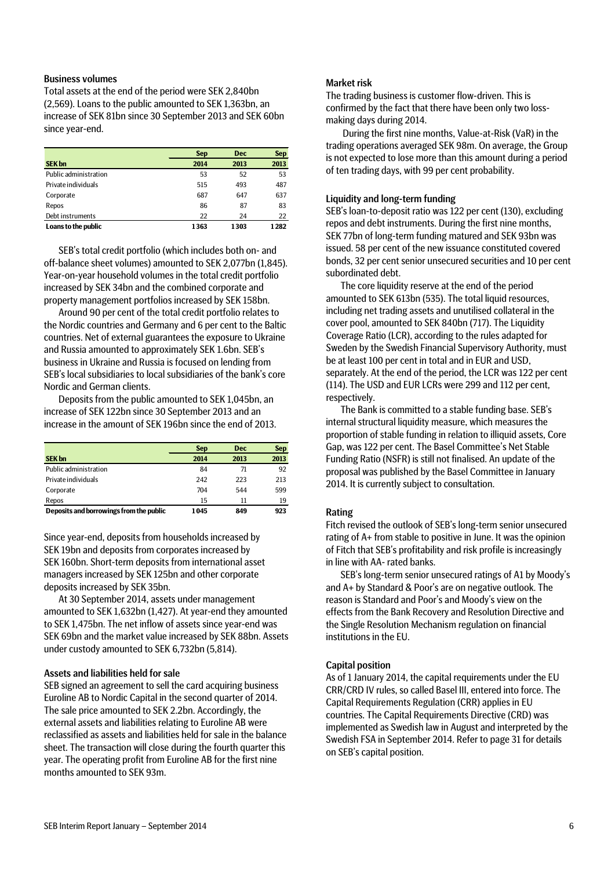### Business volumes

Total assets at the end of the period were SEK 2,840bn (2,569). Loans to the public amounted to SEK 1,363bn, an increase of SEK 81bn since 30 September 2013 and SEK 60bn since year-end.

|                       | <b>Sep</b> | <b>Dec</b> | <b>Sep</b> |
|-----------------------|------------|------------|------------|
| <b>SEK bn</b>         | 2014       | 2013       | 2013       |
| Public administration | 53         | 52         | 53         |
| Private individuals   | 515        | 493        | 487        |
| Corporate             | 687        | 647        | 637        |
| Repos                 | 86         | 87         | 83         |
| Debt instruments      | 22         | 24         | 22         |
| Loans to the public   | 1363       | 1303       | 1282       |

SEB's total credit portfolio (which includes both on- and off-balance sheet volumes) amounted to SEK 2,077bn (1,845). Year-on-year household volumes in the total credit portfolio increased by SEK 34bn and the combined corporate and property management portfolios increased by SEK 158bn.

Around 90 per cent of the total credit portfolio relates to the Nordic countries and Germany and 6 per cent to the Baltic countries. Net of external guarantees the exposure to Ukraine and Russia amounted to approximately SEK 1.6bn. SEB's business in Ukraine and Russia is focused on lending from SEB's local subsidiaries to local subsidiaries of the bank's core Nordic and German clients.

Deposits from the public amounted to SEK 1,045bn, an increase of SEK 122bn since 30 September 2013 and an increase in the amount of SEK 196bn since the end of 2013.

|                                         | <b>Sep</b> | <b>Dec</b> | <b>Sep</b> |
|-----------------------------------------|------------|------------|------------|
| <b>SEK bn</b>                           | 2014       | 2013       | 2013       |
| Public administration                   | 84         | 71         | 92         |
| Private individuals                     | 242        | 223        | 213        |
| Corporate                               | 704        | 544        | 599        |
| Repos                                   | 15         | 11         | 19         |
| Deposits and borrowings from the public | 1045       | 849        | 923        |

Since year-end, deposits from households increased by SEK 19bn and deposits from corporates increased by SEK 160bn. Short-term deposits from international asset managers increased by SEK 125bn and other corporate deposits increased by SEK 35bn.

At 30 September 2014, assets under management amounted to SEK 1,632bn (1,427). At year-end they amounted to SEK 1,475bn. The net inflow of assets since year-end was SEK 69bn and the market value increased by SEK 88bn. Assets under custody amounted to SEK 6,732bn (5,814).

### Assets and liabilities held for sale

SEB signed an agreement to sell the card acquiring business Euroline AB to Nordic Capital in the second quarter of 2014. The sale price amounted to SEK 2.2bn. Accordingly, the external assets and liabilities relating to Euroline AB were reclassified as assets and liabilities held for sale in the balance sheet. The transaction will close during the fourth quarter this year. The operating profit from Euroline AB for the first nine months amounted to SEK 93m.

### Market risk

The trading business is customer flow-driven. This is confirmed by the fact that there have been only two lossmaking days during 2014.

During the first nine months, Value-at-Risk (VaR) in the trading operations averaged SEK 98m. On average, the Group is not expected to lose more than this amount during a period of ten trading days, with 99 per cent probability.

### Liquidity and long-term funding

SEB's loan-to-deposit ratio was 122 per cent (130), excluding repos and debt instruments. During the first nine months, SEK 77bn of long-term funding matured and SEK 93bn was issued. 58 per cent of the new issuance constituted covered bonds, 32 per cent senior unsecured securities and 10 per cent subordinated debt.

The core liquidity reserve at the end of the period amounted to SEK 613bn (535). The total liquid resources, including net trading assets and unutilised collateral in the cover pool, amounted to SEK 840bn (717). The Liquidity Coverage Ratio (LCR), according to the rules adapted for Sweden by the Swedish Financial Supervisory Authority, must be at least 100 per cent in total and in EUR and USD, separately. At the end of the period, the LCR was 122 per cent (114). The USD and EUR LCRs were 299 and 112 per cent, respectively.

The Bank is committed to a stable funding base. SEB's internal structural liquidity measure, which measures the proportion of stable funding in relation to illiquid assets, Core Gap, was 122 per cent. The Basel Committee's Net Stable Funding Ratio (NSFR) is still not finalised. An update of the proposal was published by the Basel Committee in January 2014. It is currently subject to consultation.

### Rating

Fitch revised the outlook of SEB's long-term senior unsecured rating of A+ from stable to positive in June. It was the opinion of Fitch that SEB's profitability and risk profile is increasingly in line with AA- rated banks.

SEB's long-term senior unsecured ratings of A1 by Moody's and A+ by Standard & Poor's are on negative outlook. The reason is Standard and Poor's and Moody's view on the effects from the Bank Recovery and Resolution Directive and the Single Resolution Mechanism regulation on financial institutions in the EU.

### Capital position

As of 1 January 2014, the capital requirements under the EU CRR/CRD IV rules, so called Basel III, entered into force. The Capital Requirements Regulation (CRR) applies in EU countries. The Capital Requirements Directive (CRD) was implemented as Swedish law in August and interpreted by the Swedish FSA in September 2014. Refer to page 31 for details on SEB's capital position.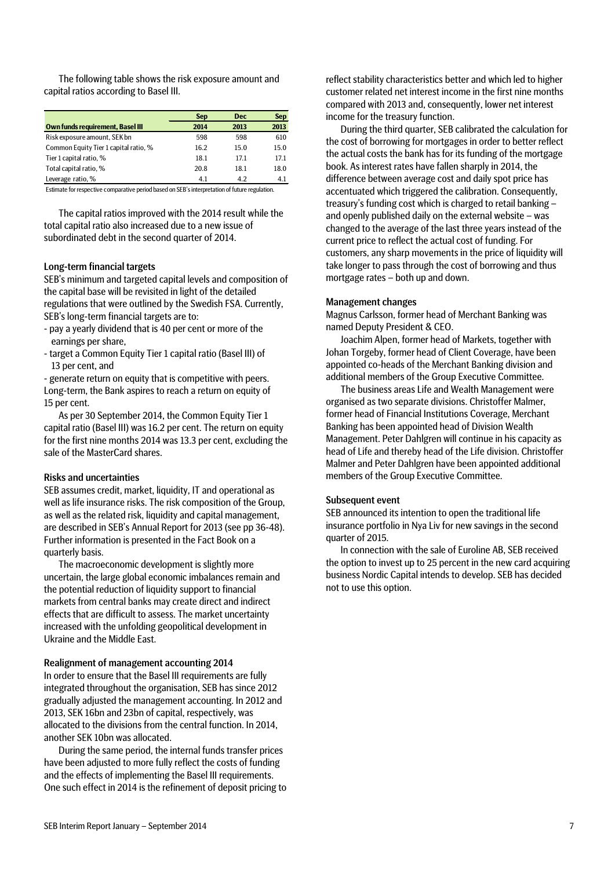The following table shows the risk exposure amount and capital ratios according to Basel III.

|                                         | <b>Sep</b> | <b>Dec</b> | <b>Sep</b> |
|-----------------------------------------|------------|------------|------------|
| <b>Own funds requirement, Basel III</b> | 2014       | 2013       | 2013       |
| Risk exposure amount, SEK bn            | 598        | 598        | 610        |
| Common Equity Tier 1 capital ratio, %   | 16.2       | 15.0       | 15.0       |
| Tier 1 capital ratio, %                 | 18.1       | 17.1       | 17.1       |
| Total capital ratio, %                  | 20.8       | 18.1       | 18.0       |
| Leverage ratio, %                       | 4.1        | 4.2        | 4.1        |

Estimate for respective comparative period based on SEB's interpretation of future regulation.

The capital ratios improved with the 2014 result while the total capital ratio also increased due to a new issue of subordinated debt in the second quarter of 2014.

### Long-term financial targets

SEB's minimum and targeted capital levels and composition of the capital base will be revisited in light of the detailed regulations that were outlined by the Swedish FSA. Currently, SEB's long-term financial targets are to:

- pay a yearly dividend that is 40 per cent or more of the earnings per share,
- target a Common Equity Tier 1 capital ratio (Basel III) of 13 per cent, and

- generate return on equity that is competitive with peers. Long-term, the Bank aspires to reach a return on equity of 15 per cent.

As per 30 September 2014, the Common Equity Tier 1 capital ratio (Basel III) was 16.2 per cent. The return on equity for the first nine months 2014 was 13.3 per cent, excluding the sale of the MasterCard shares.

#### Risks and uncertainties

SEB assumes credit, market, liquidity, IT and operational as well as life insurance risks. The risk composition of the Group, as well as the related risk, liquidity and capital management, are described in SEB's Annual Report for 2013 (see pp 36-48). Further information is presented in the Fact Book on a quarterly basis.

The macroeconomic development is slightly more uncertain, the large global economic imbalances remain and the potential reduction of liquidity support to financial markets from central banks may create direct and indirect effects that are difficult to assess. The market uncertainty increased with the unfolding geopolitical development in Ukraine and the Middle East.

### Realignment of management accounting 2014

In order to ensure that the Basel III requirements are fully integrated throughout the organisation, SEB has since 2012 gradually adjusted the management accounting. In 2012 and 2013, SEK 16bn and 23bn of capital, respectively, was allocated to the divisions from the central function. In 2014, another SEK 10bn was allocated.

During the same period, the internal funds transfer prices have been adjusted to more fully reflect the costs of funding and the effects of implementing the Basel III requirements. One such effect in 2014 is the refinement of deposit pricing to reflect stability characteristics better and which led to higher customer related net interest income in the first nine months compared with 2013 and, consequently, lower net interest income for the treasury function.

During the third quarter, SEB calibrated the calculation for the cost of borrowing for mortgages in order to better reflect the actual costs the bank has for its funding of the mortgage book. As interest rates have fallen sharply in 2014, the difference between average cost and daily spot price has accentuated which triggered the calibration. Consequently, treasury's funding cost which is charged to retail banking – and openly published daily on the external website – was changed to the average of the last three years instead of the current price to reflect the actual cost of funding. For customers, any sharp movements in the price of liquidity will take longer to pass through the cost of borrowing and thus mortgage rates – both up and down.

#### Management changes

Magnus Carlsson, former head of Merchant Banking was named Deputy President & CEO.

Joachim Alpen, former head of Markets, together with Johan Torgeby, former head of Client Coverage, have been appointed co-heads of the Merchant Banking division and additional members of the Group Executive Committee.

The business areas Life and Wealth Management were organised as two separate divisions. Christoffer Malmer, former head of Financial Institutions Coverage, Merchant Banking has been appointed head of Division Wealth Management. Peter Dahlgren will continue in his capacity as head of Life and thereby head of the Life division. Christoffer Malmer and Peter Dahlgren have been appointed additional members of the Group Executive Committee.

#### Subsequent event

SEB announced its intention to open the traditional life insurance portfolio in Nya Liv for new savings in the second quarter of 2015.

In connection with the sale of Euroline AB, SEB received the option to invest up to 25 percent in the new card acquiring business Nordic Capital intends to develop. SEB has decided not to use this option.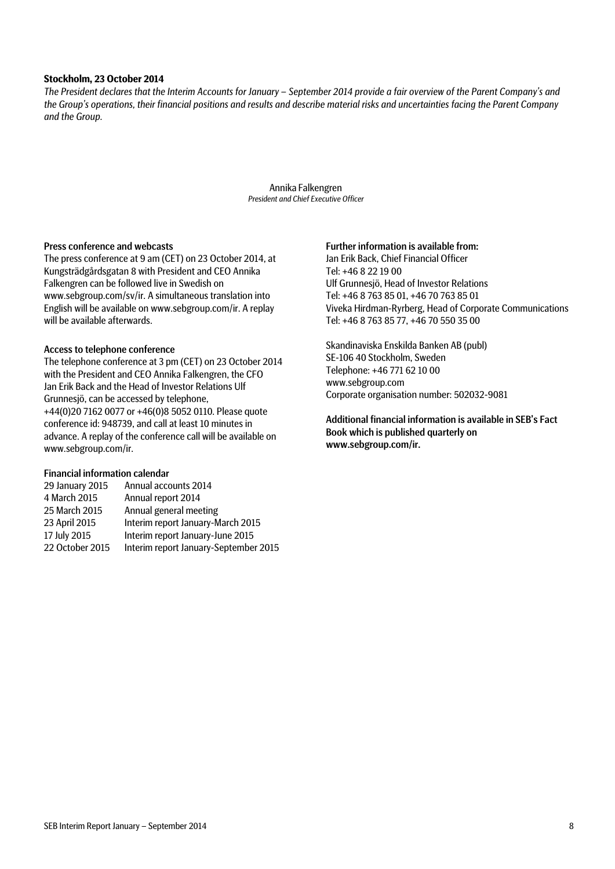### **Stockholm, 23 October 2014**

*The President declares that the Interim Accounts for January – September 2014 provide a fair overview of the Parent Company's and the Group's operations, their financial positions and results and describe material risks and uncertainties facing the Parent Company and the Group.*

> Annika Falkengren *President and Chief Executive Officer*

### Press conference and webcasts

The press conference at 9 am (CET) on 23 October 2014, at Kungsträdgårdsgatan 8 with President and CEO Annika Falkengren can be followed live in Swedish on www.sebgroup.com/sv/ir. A simultaneous translation into English will be available on www.sebgroup.com/ir. A replay will be available afterwards.

### Access to telephone conference

The telephone conference at 3 pm (CET) on 23 October 2014 with the President and CEO Annika Falkengren, the CFO Jan Erik Back and the Head of Investor Relations Ulf Grunnesjö, can be accessed by telephone, +44(0)20 7162 0077 or +46(0)8 5052 0110. Please quote conference id: 948739, and call at least 10 minutes in advance. A replay of the conference call will be available on www.sebgroup.com/ir.

### Financial information calendar

| 29 January 2015 | Annual accounts 2014                  |
|-----------------|---------------------------------------|
| 4 March 2015    | Annual report 2014                    |
| 25 March 2015   | Annual general meeting                |
| 23 April 2015   | Interim report January-March 2015     |
| 17 July 2015    | Interim report January-June 2015      |
| 22 October 2015 | Interim report January-September 2015 |

### Further information is available from:

Jan Erik Back, Chief Financial Officer Tel: +46 8 22 19 00 Ulf Grunnesjö, Head of Investor Relations Tel: +46 8 763 85 01, +46 70 763 85 01 Viveka Hirdman-Ryrberg, Head of Corporate Communications Tel: +46 8 763 85 77, +46 70 550 35 00

Skandinaviska Enskilda Banken AB (publ) SE-106 40 Stockholm, Sweden Telephone: +46 771 62 10 00 www.sebgroup.com Corporate organisation number: 502032-9081

Additional financial information is available in SEB's Fact Book which is published quarterly on www.sebgroup.com/ir.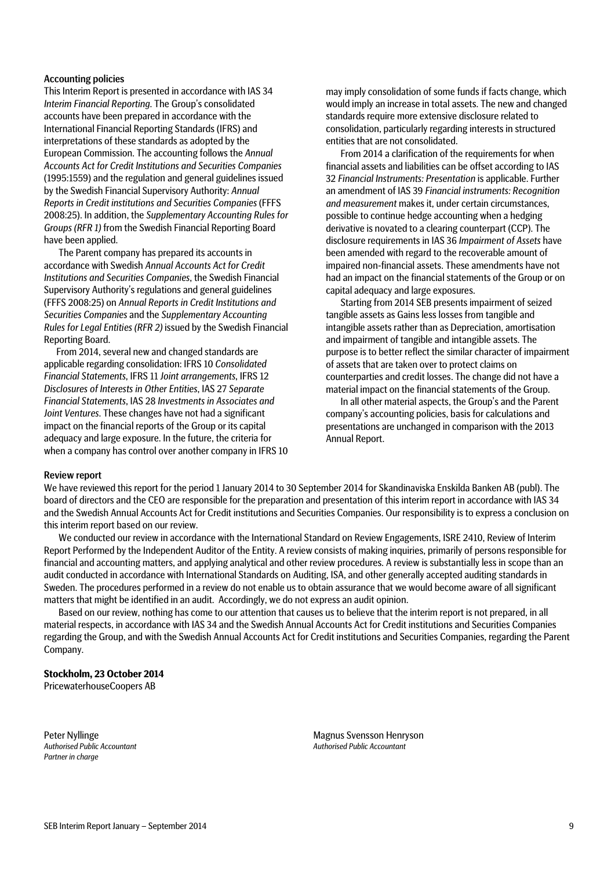### Accounting policies

This Interim Report is presented in accordance with IAS 34 *Interim Financial Reporting*. The Group's consolidated accounts have been prepared in accordance with the International Financial Reporting Standards (IFRS) and interpretations of these standards as adopted by the European Commission. The accounting follows the *Annual Accounts Act for Credit Institutions and Securities Companies* (1995:1559) and the regulation and general guidelines issued by the Swedish Financial Supervisory Authority: *Annual Reports in Credit institutions and Securities Companies* (FFFS 2008:25). In addition, the *Supplementary Accounting Rules for Groups (RFR 1)* from the Swedish Financial Reporting Board have been applied.

The Parent company has prepared its accounts in accordance with Swedish *Annual Accounts Act for Credit Institutions and Securities Companies*, the Swedish Financial Supervisory Authority's regulations and general guidelines (FFFS 2008:25) on *Annual Reports in Credit Institutions and Securities Companies* and the *Supplementary Accounting Rules for Legal Entities (RFR 2)* issued by the Swedish Financial Reporting Board.

From 2014, several new and changed standards are applicable regarding consolidation: IFRS 10 *Consolidated Financial Statements*, IFRS 11 *Joint arrangements*, IFRS 12 *Disclosures of Interests in Other Entities*, IAS 27 *Separate Financial Statements*, IAS 28 *Investments in Associates and Joint Ventures*. These changes have not had a significant impact on the financial reports of the Group or its capital adequacy and large exposure. In the future, the criteria for when a company has control over another company in IFRS 10 may imply consolidation of some funds if facts change, which would imply an increase in total assets. The new and changed standards require more extensive disclosure related to consolidation, particularly regarding interests in structured entities that are not consolidated.

From 2014 a clarification of the requirements for when financial assets and liabilities can be offset according to IAS 32 *Financial Instruments: Presentation* is applicable. Further an amendment of IAS 39 *Financial instruments: Recognition and measurement* makes it, under certain circumstances, possible to continue hedge accounting when a hedging derivative is novated to a clearing counterpart (CCP). The disclosure requirements in IAS 36 *Impairment of Assets* have been amended with regard to the recoverable amount of impaired non-financial assets. These amendments have not had an impact on the financial statements of the Group or on capital adequacy and large exposures.

Starting from 2014 SEB presents impairment of seized tangible assets as Gains less losses from tangible and intangible assets rather than as Depreciation, amortisation and impairment of tangible and intangible assets. The purpose is to better reflect the similar character of impairment of assets that are taken over to protect claims on counterparties and credit losses. The change did not have a material impact on the financial statements of the Group.

In all other material aspects, the Group's and the Parent company's accounting policies, basis for calculations and presentations are unchanged in comparison with the 2013 Annual Report.

#### Review report

We have reviewed this report for the period 1 January 2014 to 30 September 2014 for Skandinaviska Enskilda Banken AB (publ). The board of directors and the CEO are responsible for the preparation and presentation of this interim report in accordance with IAS 34 and the Swedish Annual Accounts Act for Credit institutions and Securities Companies. Our responsibility is to express a conclusion on this interim report based on our review.

We conducted our review in accordance with the International Standard on Review Engagements, ISRE 2410, Review of Interim Report Performed by the Independent Auditor of the Entity. A review consists of making inquiries, primarily of persons responsible for financial and accounting matters, and applying analytical and other review procedures. A review is substantially less in scope than an audit conducted in accordance with International Standards on Auditing, ISA, and other generally accepted auditing standards in Sweden. The procedures performed in a review do not enable us to obtain assurance that we would become aware of all significant matters that might be identified in an audit. Accordingly, we do not express an audit opinion.

Based on our review, nothing has come to our attention that causes us to believe that the interim report is not prepared, in all material respects, in accordance with IAS 34 and the Swedish Annual Accounts Act for Credit institutions and Securities Companies regarding the Group, and with the Swedish Annual Accounts Act for Credit institutions and Securities Companies, regarding the Parent Company.

### **Stockholm, 23 October 2014**

PricewaterhouseCoopers AB

*Partner in charge*

Peter Nyllinge **Magnus Svensson Henryson**<br>
Authorised Public Accountant **Magnus Svensson Henryson**<br>
Authorised Public Accountant *Authorised Public Accountant Authorised Public Accountant*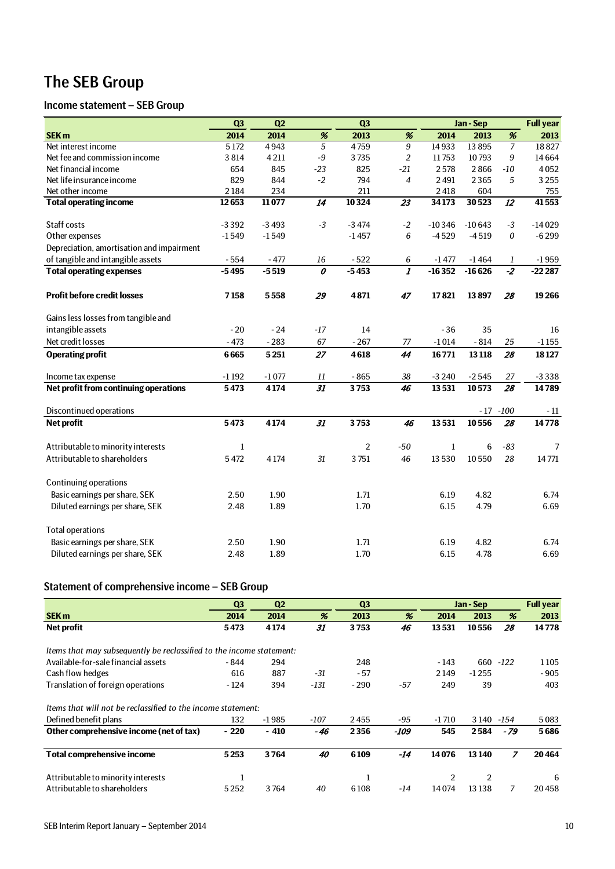# The SEB Group

# Income statement – SEB Group

|                                           | Q <sub>3</sub> | Q2      |                                  | Q3             |                         |             | Jan-Sep  |                  | <b>Full year</b> |
|-------------------------------------------|----------------|---------|----------------------------------|----------------|-------------------------|-------------|----------|------------------|------------------|
| SEK <sub>m</sub>                          | 2014           | 2014    | $\%$                             | 2013           | %                       | 2014        | 2013     | $\%$             | 2013             |
| Net interest income                       | 5 1 7 2        | 4943    | $\overline{5}$                   | 4759           | $\overline{9}$          | 14933       | 13895    | $\overline{7}$   | 18827            |
| Net fee and commission income             | 3814           | 4211    | $-9$                             | 3735           | $\overline{2}$          | 11753       | 10793    | 9                | 14664            |
| Net financial income                      | 654            | 845     | $-23$                            | 825            | $-21$                   | 2578        | 2866     | $-10$            | 4052             |
| Net life insurance income                 | 829            | 844     | $-2$                             | 794            | $\overline{4}$          | 2491        | 2365     | 5                | 3 2 5 5          |
| Net other income                          | 2184           | 234     |                                  | 211            |                         | 2418        | 604      |                  | 755              |
| <b>Total operating income</b>             | 12653          | 11077   | $\overline{14}$                  | 10324          | $\overline{23}$         | 34173       | 30523    | $\overline{12}$  | 41553            |
|                                           |                |         |                                  |                |                         |             |          |                  |                  |
| Staff costs                               | $-3392$        | $-3493$ | $-3$                             | $-3474$        | $-2$                    | $-10346$    | $-10643$ | $-3$             | $-14029$         |
| Other expenses                            | $-1549$        | $-1549$ |                                  | $-1457$        | 6                       | $-4529$     | $-4519$  | $\boldsymbol{0}$ | $-6299$          |
| Depreciation, amortisation and impairment |                |         |                                  |                |                         |             |          |                  |                  |
| of tangible and intangible assets         | $-554$         | $-477$  | 16                               | $-522$         | 6                       | $-1477$     | $-1464$  | 1                | $-1959$          |
| <b>Total operating expenses</b>           | $-5495$        | $-5519$ | $\overline{\boldsymbol{\theta}}$ | $-5453$        | $\overline{\mathbf{I}}$ | $-16352$    | $-16626$ | $\overline{-2}$  | $-22287$         |
| <b>Profit before credit losses</b>        | 7158           | 5558    | 29                               | 4871           | 47                      | 17821       | 13897    | 28               | 19266            |
| Gains less losses from tangible and       |                |         |                                  |                |                         |             |          |                  |                  |
| intangible assets                         | $-20$          | $-24$   | $-17$                            | 14             |                         | $-36$       | 35       |                  | 16               |
| Net credit losses                         | $-473$         | $-283$  | 67                               | $-267$         | 77                      | $-1014$     | $-814$   | 25               | $-1155$          |
| <b>Operating profit</b>                   | 6665           | 5251    | 27                               | 4618           | 44                      | 16771       | 13 118   | 28               | 18127            |
| Income tax expense                        | $-1192$        | $-1077$ | $11\,$                           | $-865$         | 38                      | $-3240$     | $-2545$  | 27               | $-3338$          |
| Net profit from continuing operations     | 5473           | 4174    | $\overline{31}$                  | 3753           | 46                      | 13531       | 10573    | 28               | 14789            |
| Discontinued operations                   |                |         |                                  |                |                         |             | $-17$    | $-100$           | $-11$            |
| <b>Net profit</b>                         | 5473           | 4174    | 31                               | 3753           | 46                      | 13531       | 10556    | 28               | 14778            |
| Attributable to minority interests        | 1              |         |                                  | $\overline{2}$ | $-50$                   | $\mathbf 1$ | 6        | $-83$            | 7                |
| Attributable to shareholders              | 5472           | 4174    | 31                               | 3751           | 46                      | 13530       | 10550    | 28               | 14771            |
| <b>Continuing operations</b>              |                |         |                                  |                |                         |             |          |                  |                  |
| Basic earnings per share, SEK             | 2.50           | 1.90    |                                  | 1.71           |                         | 6.19        | 4.82     |                  | 6.74             |
| Diluted earnings per share, SEK           | 2.48           | 1.89    |                                  | 1.70           |                         | 6.15        | 4.79     |                  | 6.69             |
| <b>Total operations</b>                   |                |         |                                  |                |                         |             |          |                  |                  |
| Basic earnings per share, SEK             | 2.50           | 1.90    |                                  | 1.71           |                         | 6.19        | 4.82     |                  | 6.74             |
| Diluted earnings per share, SEK           | 2.48           | 1.89    |                                  | 1.70           |                         | 6.15        | 4.78     |                  | 6.69             |

# Statement of comprehensive income – SEB Group

|                                                                      | Q <sub>3</sub> | Q <sub>2</sub> |        | Q <sub>3</sub> |       |         | Jan - Sep      |                | <b>Full year</b> |
|----------------------------------------------------------------------|----------------|----------------|--------|----------------|-------|---------|----------------|----------------|------------------|
| <b>SEK m</b>                                                         | 2014           | 2014           | %      | 2013           | %     | 2014    | 2013           | %              | 2013             |
| Net profit                                                           | 5473           | 4174           | 31     | 3753           | 46    | 13531   | 10556          | 28             | 14778            |
| Items that may subsequently be reclassified to the income statement: |                |                |        |                |       |         |                |                |                  |
| Available-for-sale financial assets                                  | - 844          | 294            |        | 248            |       | $-143$  | 660            | $-122$         | 1105             |
| Cash flow hedges                                                     | 616            | 887            | -31    | $-57$          |       | 2149    | $-1255$        |                | $-905$           |
| Translation of foreign operations                                    | - 124          | 394            | $-131$ | $-290$         | $-57$ | 249     | 39             |                | 403              |
| Items that will not be reclassified to the income statement:         |                |                |        |                |       |         |                |                |                  |
| Defined benefit plans                                                | 132            | $-1985$        | $-107$ | 2455           | $-95$ | $-1710$ | 3 1 4 0        | -154           | 5083             |
| Other comprehensive income (net of tax)                              | $-220$         | $-410$         | - 46   | 2356           | -109  | 545     | 2584           | - 79           | 5686             |
| <b>Total comprehensive income</b>                                    | 5253           | 3764           | 40     | 6109           | -14   | 14076   | 13 140         | $\overline{z}$ | 20464            |
| Attributable to minority interests                                   |                |                |        | 1              |       | 2       | $\overline{2}$ |                | 6                |
| Attributable to shareholders                                         | 5252           | 3764           | 40     | 6108           | -14   | 14074   | 13138          | 7              | 20458            |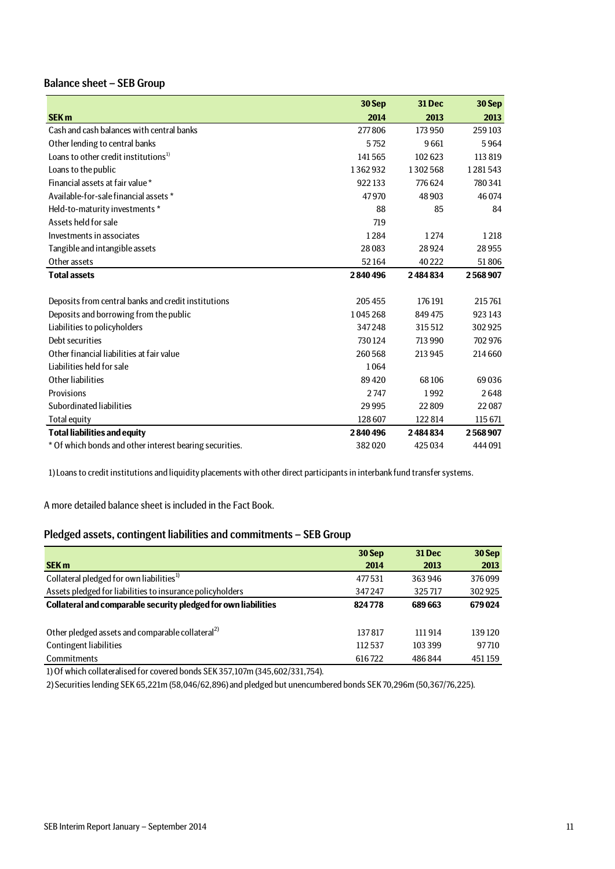# Balance sheet – SEB Group

|                                                         | 30 Sep  | 31 Dec  | 30 Sep  |
|---------------------------------------------------------|---------|---------|---------|
| <b>SEK m</b>                                            | 2014    | 2013    | 2013    |
| Cash and cash balances with central banks               | 277806  | 173 950 | 259103  |
| Other lending to central banks                          | 5752    | 9661    | 5964    |
| Loans to other credit institutions <sup>1)</sup>        | 141565  | 102623  | 113819  |
| Loans to the public                                     | 1362932 | 1302568 | 1281543 |
| Financial assets at fair value*                         | 922133  | 776624  | 780341  |
| Available-for-sale financial assets *                   | 47970   | 48 903  | 46074   |
| Held-to-maturity investments *                          | 88      | 85      | 84      |
| Assets held for sale                                    | 719     |         |         |
| Investments in associates                               | 1284    | 1274    | 1218    |
| Tangible and intangible assets                          | 28083   | 28924   | 28955   |
| Other assets                                            | 52164   | 40222   | 51806   |
| <b>Total assets</b>                                     | 2840496 | 2484834 | 2568907 |
|                                                         |         |         |         |
| Deposits from central banks and credit institutions     | 205455  | 176 191 | 215761  |
| Deposits and borrowing from the public                  | 1045268 | 849 475 | 923 143 |
| Liabilities to policyholders                            | 347248  | 315512  | 302925  |
| Debt securities                                         | 730124  | 713 990 | 702 976 |
| Other financial liabilities at fair value               | 260568  | 213 945 | 214 660 |
| Liabilities held for sale                               | 1064    |         |         |
| Other liabilities                                       | 89420   | 68106   | 69036   |
| Provisions                                              | 2747    | 1992    | 2648    |
| Subordinated liabilities                                | 29995   | 22809   | 22087   |
| <b>Total equity</b>                                     | 128 607 | 122814  | 115 671 |
| <b>Total liabilities and equity</b>                     | 2840496 | 2484834 | 2568907 |
| * Of which bonds and other interest bearing securities. | 382020  | 425034  | 444 091 |

1) Loans to credit institutions and liquidity placements with other direct participants in interbank fund transfer systems.

A more detailed balance sheet is included in the Fact Book.

# Pledged assets, contingent liabilities and commitments – SEB Group

|                                                                | 30 Sep | <b>31 Dec</b> | 30 Sep |
|----------------------------------------------------------------|--------|---------------|--------|
| <b>SEK m</b>                                                   | 2014   | 2013          | 2013   |
| Collateral pledged for own liabilities <sup>1)</sup>           | 477531 | 363 946       | 376099 |
| Assets pledged for liabilities to insurance policyholders      | 347247 | 325717        | 302925 |
| Collateral and comparable security pledged for own liabilities | 824778 | 689 663       | 679024 |
|                                                                |        |               |        |
| Other pledged assets and comparable collateral <sup>2)</sup>   | 137817 | 111914        | 139120 |
| <b>Contingent liabilities</b>                                  | 112537 | 103 399       | 97710  |
| Commitments                                                    | 616722 | 486844        | 451159 |

1) Of which collateralised for covered bonds SEK 357,107m (345,602/331,754).

2) Securities lending SEK 65,221m (58,046/62,896) and pledged but unencumbered bonds SEK 70,296m (50,367/76,225).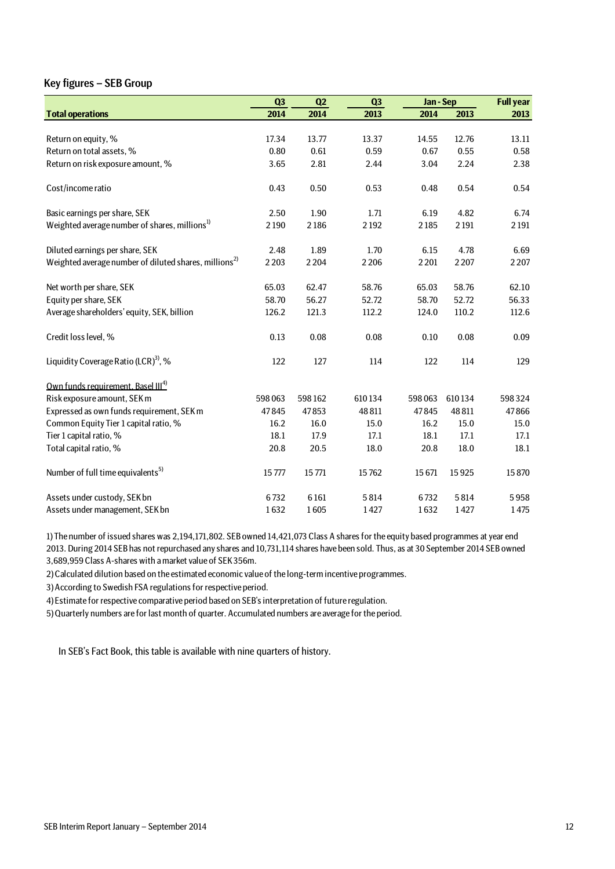# Key figures – SEB Group

|                                                                   | Q <sub>3</sub> | Q2     | Q3     | Jan-Sep |         | <b>Full year</b> |
|-------------------------------------------------------------------|----------------|--------|--------|---------|---------|------------------|
| <b>Total operations</b>                                           | 2014           | 2014   | 2013   | 2014    | 2013    | 2013             |
|                                                                   |                |        |        |         |         |                  |
| Return on equity, %                                               | 17.34          | 13.77  | 13.37  | 14.55   | 12.76   | 13.11            |
| Return on total assets, %                                         | 0.80           | 0.61   | 0.59   | 0.67    | 0.55    | 0.58             |
| Return on risk exposure amount, %                                 | 3.65           | 2.81   | 2.44   | 3.04    | 2.24    | 2.38             |
| Cost/income ratio                                                 | 0.43           | 0.50   | 0.53   | 0.48    | 0.54    | 0.54             |
| Basic earnings per share, SEK                                     | 2.50           | 1.90   | 1.71   | 6.19    | 4.82    | 6.74             |
| Weighted average number of shares, millions <sup>1)</sup>         | 2190           | 2186   | 2192   | 2185    | 2 1 9 1 | 2 1 9 1          |
| Diluted earnings per share, SEK                                   | 2.48           | 1.89   | 1.70   | 6.15    | 4.78    | 6.69             |
| Weighted average number of diluted shares, millions <sup>2)</sup> | 2 2 0 3        | 2204   | 2206   | 2 2 0 1 | 2207    | 2 2 0 7          |
| Net worth per share, SEK                                          | 65.03          | 62.47  | 58.76  | 65.03   | 58.76   | 62.10            |
| Equity per share, SEK                                             | 58.70          | 56.27  | 52.72  | 58.70   | 52.72   | 56.33            |
| Average shareholders' equity, SEK, billion                        | 126.2          | 121.3  | 112.2  | 124.0   | 110.2   | 112.6            |
| Credit loss level, %                                              | 0.13           | 0.08   | 0.08   | 0.10    | 0.08    | 0.09             |
| Liquidity Coverage Ratio (LCR) <sup>3</sup> , %                   | 122            | 127    | 114    | 122     | 114     | 129              |
| Own funds requirement, Basel III <sup>4)</sup>                    |                |        |        |         |         |                  |
| Risk exposure amount, SEK m                                       | 598063         | 598162 | 610134 | 598063  | 610134  | 598324           |
| Expressed as own funds requirement, SEK m                         | 47845          | 47853  | 48 811 | 47845   | 48 811  | 47866            |
| Common Equity Tier 1 capital ratio, %                             | 16.2           | 16.0   | 15.0   | 16.2    | 15.0    | 15.0             |
| Tier 1 capital ratio, %                                           | 18.1           | 17.9   | 17.1   | 18.1    | 17.1    | 17.1             |
| Total capital ratio, %                                            | 20.8           | 20.5   | 18.0   | 20.8    | 18.0    | 18.1             |
| Number of full time equivalents <sup>5)</sup>                     | 15777          | 15771  | 15762  | 15671   | 15925   | 15870            |
| Assets under custody, SEK bn                                      | 6732           | 6161   | 5814   | 6732    | 5814    | 5958             |
| Assets under management, SEK bn                                   | 1632           | 1605   | 1427   | 1632    | 1427    | 1475             |

1) The number of issued shares was 2,194,171,802. SEB owned 14,421,073 Class A shares for the equity based programmes at year end 2013. During 2014 SEB has not repurchased any shares and 10,731,114 shares have been sold. Thus, as at 30 September 2014 SEB owned 3,689,959 Class A-shares with a market value of SEK 356m.

2) Calculated dilution based on the estimated economic value of the long-term incentive programmes.

3) According to Swedish FSA regulations for respective period.

4) Estimate for respective comparative period based on SEB's interpretation of future regulation.

5) Quarterly numbers are for last month of quarter. Accumulated numbers are average for the period.

In SEB's Fact Book, this table is available with nine quarters of history.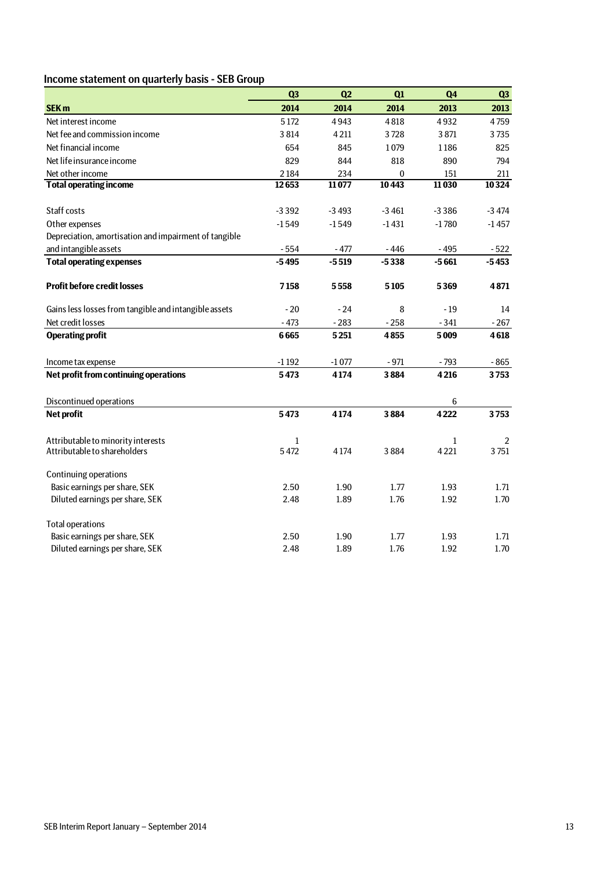# Income statement on quarterly basis - SEB Group

|                                                       | Q <sub>3</sub> | Q2      | Q1      | Q <sub>4</sub> | Q <sub>3</sub> |
|-------------------------------------------------------|----------------|---------|---------|----------------|----------------|
| <b>SEK m</b>                                          | 2014           | 2014    | 2014    | 2013           | 2013           |
| Net interest income                                   | 5172           | 4943    | 4818    | 4932           | 4759           |
| Net fee and commission income                         | 3814           | 4211    | 3728    | 3871           | 3735           |
| Net financial income                                  | 654            | 845     | 1079    | 1186           | 825            |
| Net life insurance income                             | 829            | 844     | 818     | 890            | 794            |
| Net other income                                      | 2184           | 234     | 0       | 151            | 211            |
| <b>Total operating income</b>                         | 12653          | 11077   | 10443   | 11030          | 10324          |
|                                                       |                |         |         |                |                |
| Staff costs                                           | $-3392$        | $-3493$ | $-3461$ | $-3386$        | $-3474$        |
| Other expenses                                        | $-1549$        | $-1549$ | $-1431$ | $-1780$        | $-1457$        |
| Depreciation, amortisation and impairment of tangible |                |         |         |                |                |
| and intangible assets                                 | $-554$         | $-477$  | $-446$  | $-495$         | $-522$         |
| <b>Total operating expenses</b>                       | $-5495$        | $-5519$ | $-5338$ | $-5661$        | $-5453$        |
|                                                       |                |         |         |                |                |
| <b>Profit before credit losses</b>                    | 7158           | 5558    | 5105    | 5369           | 4871           |
| Gains less losses from tangible and intangible assets | $-20$          | $-24$   | 8       | $-19$          | 14             |
| Net credit losses                                     | $-473$         | $-283$  | $-258$  | $-341$         | $-267$         |
| <b>Operating profit</b>                               | 6665           | 5251    | 4855    | 5009           | 4618           |
| Income tax expense                                    | $-1192$        | $-1077$ | $-971$  | $-793$         | $-865$         |
| Net profit from continuing operations                 | 5473           | 4174    | 3884    | 4216           | 3753           |
|                                                       |                |         |         |                |                |
| Discontinued operations                               |                |         |         | 6              |                |
| Net profit                                            | 5473           | 4174    | 3884    | 4222           | 3753           |
| Attributable to minority interests                    | $\mathbf{1}$   |         |         | 1              | 2              |
| Attributable to shareholders                          | 5472           | 4174    | 3884    | 4221           | 3751           |
| <b>Continuing operations</b>                          |                |         |         |                |                |
| Basic earnings per share, SEK                         | 2.50           | 1.90    | 1.77    | 1.93           | 1.71           |
| Diluted earnings per share, SEK                       | 2.48           | 1.89    | 1.76    | 1.92           | 1.70           |
| <b>Total operations</b>                               |                |         |         |                |                |
| Basic earnings per share, SEK                         | 2.50           | 1.90    | 1.77    | 1.93           | 1.71           |
| Diluted earnings per share, SEK                       | 2.48           | 1.89    | 1.76    | 1.92           | 1.70           |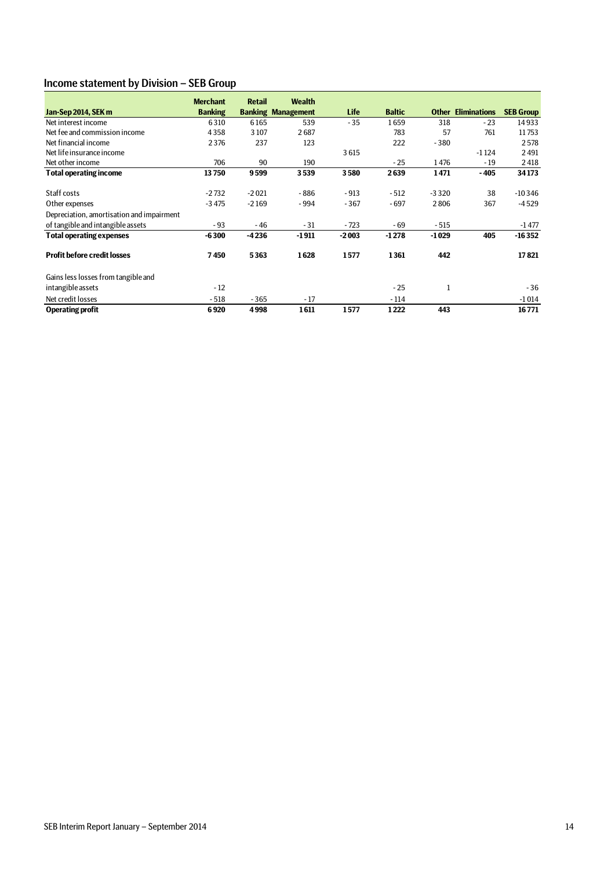# Income statement by Division – SEB Group

|                                           | <b>Merchant</b> | <b>Retail</b> | <b>Wealth</b>             |             |               |              |                     |                  |
|-------------------------------------------|-----------------|---------------|---------------------------|-------------|---------------|--------------|---------------------|------------------|
| Jan-Sep 2014, SEK m                       | <b>Banking</b>  |               | <b>Banking Management</b> | <b>Life</b> | <b>Baltic</b> | <b>Other</b> | <b>Eliminations</b> | <b>SEB Group</b> |
| Net interest income                       | 6310            | 6165          | 539                       | $-35$       | 1659          | 318          | $-23$               | 14933            |
| Net fee and commission income             | 4358            | 3107          | 2687                      |             | 783           | 57           | 761                 | 11753            |
| Net financial income                      | 2376            | 237           | 123                       |             | 222           | $-380$       |                     | 2578             |
| Net life insurance income                 |                 |               |                           | 3615        |               |              | $-1124$             | 2491             |
| Net other income                          | 706             | 90            | 190                       |             | $-25$         | 1476         | $-19$               | 2418             |
| Total operating income                    | 13750           | 9599          | 3539                      | 3580        | 2639          | 1471         | - 405               | 34173            |
| Staff costs                               | $-2732$         | $-2021$       | - 886                     | $-913$      | $-512$        | $-3320$      | 38                  | $-10346$         |
| Other expenses                            | $-3475$         | $-2169$       | - 994                     | $-367$      | $-697$        | 2806         | 367                 | $-4529$          |
| Depreciation, amortisation and impairment |                 |               |                           |             |               |              |                     |                  |
| of tangible and intangible assets         | $-93$           | $-46$         | $-31$                     | $-723$      | $-69$         | $-515$       |                     | $-1477$          |
| <b>Total operating expenses</b>           | $-6300$         | $-4236$       | $-1911$                   | $-2003$     | $-1278$       | $-1029$      | 405                 | $-16352$         |
| <b>Profit before credit losses</b>        | 7450            | 5363          | 1628                      | 1577        | 1361          | 442          |                     | 17821            |
| Gains less losses from tangible and       |                 |               |                           |             |               |              |                     |                  |
| intangible assets                         | $-12$           |               |                           |             | $-25$         |              |                     | $-36$            |
| Net credit losses                         | $-518$          | $-365$        | $-17$                     |             | $-114$        |              |                     | $-1014$          |
| <b>Operating profit</b>                   | 6920            | 4998          | 1611                      | 1577        | 1222          | 443          |                     | 16771            |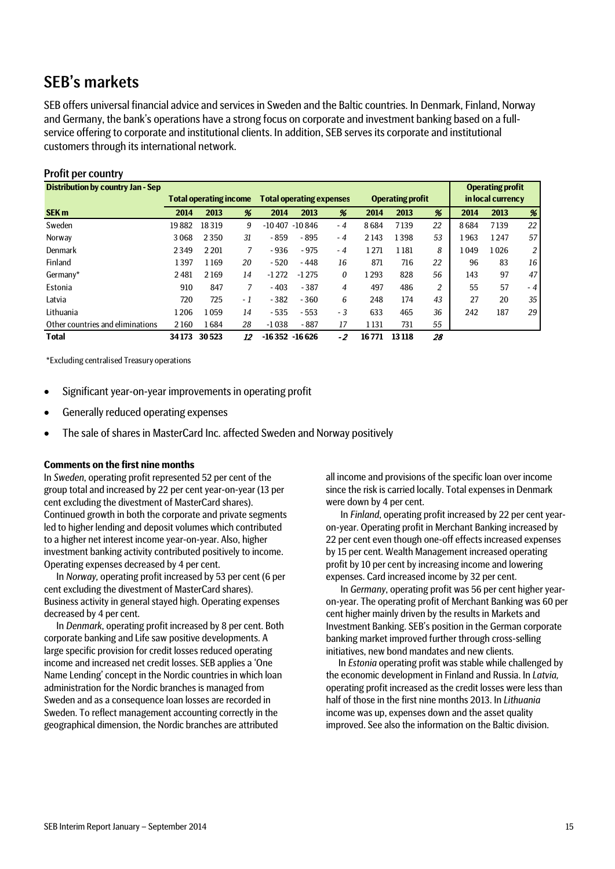# SEB's markets

SEB offers universal financial advice and services in Sweden and the Baltic countries. In Denmark, Finland, Norway and Germany, the bank's operations have a strong focus on corporate and investment banking based on a fullservice offering to corporate and institutional clients. In addition, SEB serves its corporate and institutional customers through its international network.

| TUITE DUI GUUITEE V                      |       |                               |      |                                 |         |      |       |                         |    |       |                         |     |
|------------------------------------------|-------|-------------------------------|------|---------------------------------|---------|------|-------|-------------------------|----|-------|-------------------------|-----|
| <b>Distribution by country Jan - Sep</b> |       |                               |      |                                 |         |      |       |                         |    |       | <b>Operating profit</b> |     |
|                                          |       | <b>Total operating income</b> |      | <b>Total operating expenses</b> |         |      |       | <b>Operating profit</b> |    |       | in local currency       |     |
| SEK <sub>m</sub>                         | 2014  | 2013                          | %    | 2014                            | 2013    | %    | 2014  | 2013                    | %  | 2014  | 2013                    | %   |
| Sweden                                   | 19882 | 18319                         | 9    | $-10407 - 10846$                |         | $-4$ | 8684  | 7139                    | 22 | 8684  | 7139                    | 22  |
| Norway                                   | 3068  | 2350                          | 31   | $-859$                          | - 895   | - 4  | 2143  | 1398                    | 53 | l 963 | 1247                    | 57  |
| Denmark                                  | 2349  | 2 2 0 1                       | 7    | $-936$                          | $-975$  | - 4  | 1271  | 1181                    | 8  | l 049 | 1026                    | 2   |
| Finland                                  | 1397  | 1169                          | 20   | $-520$                          | $-448$  | 16   | 871   | 716                     | 22 | 96    | 83                      | 16  |
| Germany*                                 | 2481  | 2169                          | 14   | $-1272$                         | $-1275$ | 0    | 1293  | 828                     | 56 | 143   | 97                      | 47  |
| Estonia                                  | 910   | 847                           | 7    | $-403$                          | $-387$  | 4    | 497   | 486                     | 2  | 55    | 57                      | - 4 |
| Latvia                                   | 720   | 725                           | $-1$ | $-382$                          | $-360$  | 6    | 248   | 174                     | 43 | 27    | 20                      | 35  |
| Lithuania                                | 1206  | 1059                          | 14   | $-535$                          | $-553$  | $-3$ | 633   | 465                     | 36 | 242   | 187                     | 29  |
| Other countries and eliminations         | 2160  | 1684                          | 28   | $-1038$                         | $-887$  | 17   | 1131  | 731                     | 55 |       |                         |     |
| <b>Total</b>                             | 34173 | 30523                         | 12   | $-16352 - 16626$                |         | -2   | 16771 | 13 118                  | 28 |       |                         |     |

# Profit per country

\*Excluding centralised Treasury operations

- Significant year-on-year improvements in operating profit
- Generally reduced operating expenses
- The sale of shares in MasterCard Inc. affected Sweden and Norway positively

### **Comments on the first nine months**

In *Sweden*, operating profit represented 52 per cent of the group total and increased by 22 per cent year-on-year (13 per cent excluding the divestment of MasterCard shares). Continued growth in both the corporate and private segments led to higher lending and deposit volumes which contributed to a higher net interest income year-on-year. Also, higher investment banking activity contributed positively to income. Operating expenses decreased by 4 per cent.

In *Norway,* operating profit increased by 53 per cent (6 per cent excluding the divestment of MasterCard shares). Business activity in general stayed high. Operating expenses decreased by 4 per cent.

In *Denmark*, operating profit increased by 8 per cent. Both corporate banking and Life saw positive developments. A large specific provision for credit losses reduced operating income and increased net credit losses. SEB applies a 'One Name Lending' concept in the Nordic countries in which loan administration for the Nordic branches is managed from Sweden and as a consequence loan losses are recorded in Sweden. To reflect management accounting correctly in the geographical dimension, the Nordic branches are attributed

all income and provisions of the specific loan over income since the risk is carried locally. Total expenses in Denmark were down by 4 per cent.

In *Finland*, operating profit increased by 22 per cent yearon-year. Operating profit in Merchant Banking increased by 22 per cent even though one-off effects increased expenses by 15 per cent. Wealth Management increased operating profit by 10 per cent by increasing income and lowering expenses. Card increased income by 32 per cent.

In *Germany*, operating profit was 56 per cent higher yearon-year. The operating profit of Merchant Banking was 60 per cent higher mainly driven by the results in Markets and Investment Banking. SEB's position in the German corporate banking market improved further through cross-selling initiatives, new bond mandates and new clients.

In *Estonia* operating profit was stable while challenged by the economic development in Finland and Russia. In *Latvia,* operating profit increased as the credit losses were less than half of those in the first nine months 2013. In *Lithuania* income was up, expenses down and the asset quality improved. See also the information on the Baltic division.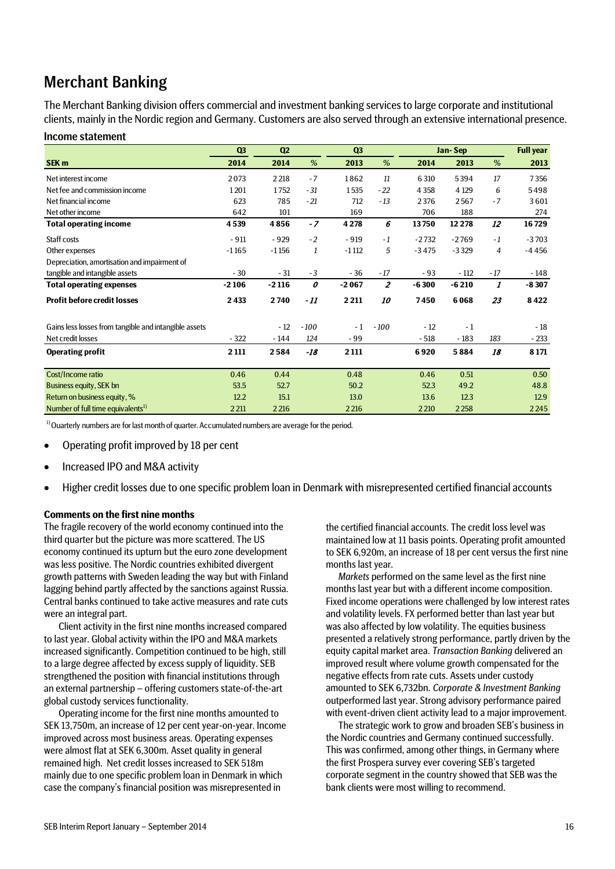# Merchant Banking

Income statement

The Merchant Banking division offers commercial and investment banking services to large corporate and institutional clients, mainly in the Nordic region and Germany. Customers are also served through an extensive international presence.

|                                                       | Q <sub>3</sub> | Q <sub>2</sub> |        | Q <sub>3</sub> |                  |         | Jan-Sep |                | <b>Full year</b> |  |  |
|-------------------------------------------------------|----------------|----------------|--------|----------------|------------------|---------|---------|----------------|------------------|--|--|
| SEK <sub>m</sub>                                      | 2014           | 2014           | %      | 2013           | %                | 2014    | 2013    | %              | 2013             |  |  |
| Net interest income                                   | 2073           | 2 2 18         | $-7$   | 1862           | 11               | 6 3 10  | 5394    | 17             | 7356             |  |  |
| Net fee and commission income                         | 1201           | 1752           | $-31$  | 1535           | $-22$            | 4 3 5 8 | 4 1 29  | 6              | 5498             |  |  |
| Net financial income                                  | 623            | 785            | $-21$  | 712            | $-13$            | 2376    | 2567    | $-7$           | 3601             |  |  |
| Net other income                                      | 642            | 101            |        | 169            |                  | 706     | 188     |                | 274              |  |  |
| <b>Total operating income</b>                         | 4539           | 4856           | $-7$   | 4 2 7 8        | 6                | 13750   | 12 2 78 | 12             | 16729            |  |  |
| Staff costs                                           | $-911$         | $-929$         | $-2$   | $-919$         | $-1$             | $-2732$ | $-2769$ | $-1$           | $-3703$          |  |  |
| Other expenses                                        | $-1165$        | $-1156$        | 1      | $-1112$        | 5                | $-3475$ | $-3329$ | $\overline{4}$ | $-4456$          |  |  |
| Depreciation, amortisation and impairment of          |                |                |        |                |                  |         |         |                |                  |  |  |
| tangible and intangible assets                        | $-30$          | $-31$          | $-3$   | $-36$          | $-17$            | - 93    | $-112$  | $-17$          | - 148            |  |  |
| <b>Total operating expenses</b>                       | $-2106$        | $-2116$        | 0      | $-2067$        | $\boldsymbol{z}$ | $-6300$ | $-6210$ | 1              | $-8307$          |  |  |
| <b>Profit before credit losses</b>                    | 2433           | 2740           | - 11   | 2 2 1 1        | 10               | 7450    | 6068    | 23             | 8422             |  |  |
| Gains less losses from tangible and intangible assets |                | $-12$          | $-100$ | $-1$           | $-100$           | $-12$   | $-1$    |                | $-18$            |  |  |
| Net credit losses                                     | $-322$         | $-144$         | 124    | $-99$          |                  | $-518$  | $-183$  | 183            | $-233$           |  |  |
| <b>Operating profit</b>                               | 2 1 1 1        | 2584           | $-18$  | 2 1 1 1        |                  | 6920    | 5884    | 18             | 8 1 7 1          |  |  |
| Cost/Income ratio                                     | 0.46           | 0.44           |        | 0.48           |                  | 0.46    | 0.51    |                | 0.50             |  |  |
| Business equity, SEK bn                               | 53.5           | 52.7           |        | 50.2           |                  | 52.3    | 49.2    |                | 48.8             |  |  |
| Return on business equity, %                          | 12.2           | 15.1           |        | 13.0           |                  | 13.6    | 12.3    |                | 12.9             |  |  |
| Number of full time equivalents <sup>1)</sup>         | 2 2 11         | 2 2 16         |        | 2 2 16         |                  | 2 2 10  | 2 2 5 8 |                | 2245             |  |  |

<sup>1)</sup> Ouarterly numbers are for last month of quarter. Accumulated numbers are average for the period.

- Operating profit improved by 18 per cent
- Increased IPO and M&A activity
- Higher credit losses due to one specific problem loan in Denmark with misrepresented certified financial accounts

### **Comments on the first nine months**

The fragile recovery of the world economy continued into the third quarter but the picture was more scattered. The US economy continued its upturn but the euro zone development was less positive. The Nordic countries exhibited divergent growth patterns with Sweden leading the way but with Finland lagging behind partly affected by the sanctions against Russia. Central banks continued to take active measures and rate cuts were an integral part.

Client activity in the first nine months increased compared to last year. Global activity within the IPO and M&A markets increased significantly. Competition continued to be high, still to a large degree affected by excess supply of liquidity. SEB strengthened the position with financial institutions through an external partnership – offering customers state-of-the-art global custody services functionality.

Operating income for the first nine months amounted to SEK 13,750m, an increase of 12 per cent year-on-year. Income improved across most business areas. Operating expenses were almost flat at SEK 6,300m. Asset quality in general remained high. Net credit losses increased to SEK 518m mainly due to one specific problem loan in Denmark in which case the company's financial position was misrepresented in

the certified financial accounts. The credit loss level was maintained low at 11 basis points. Operating profit amounted to SEK 6,920m, an increase of 18 per cent versus the first nine months last year.

*Markets* performed on the same level as the first nine months last year but with a different income composition. Fixed income operations were challenged by low interest rates and volatility levels. FX performed better than last year but was also affected by low volatility. The equities business presented a relatively strong performance, partly driven by the equity capital market area. *Transaction Banking* delivered an improved result where volume growth compensated for the negative effects from rate cuts. Assets under custody amounted to SEK 6,732bn. *Corporate & Investment Banking*  outperformed last year. Strong advisory performance paired with event-driven client activity lead to a major improvement.

The strategic work to grow and broaden SEB's business in the Nordic countries and Germany continued successfully. This was confirmed, among other things, in Germany where the first Prospera survey ever covering SEB's targeted corporate segment in the country showed that SEB was the bank clients were most willing to recommend.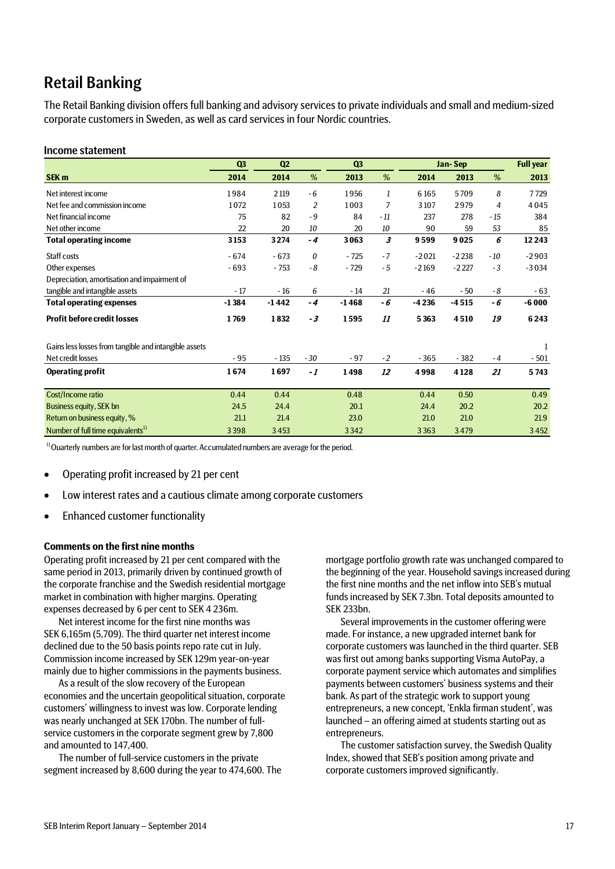# Retail Banking

The Retail Banking division offers full banking and advisory services to private individuals and small and medium-sized corporate customers in Sweden, as well as card services in four Nordic countries.

### Income statement

|                                                       | Q <sub>3</sub> | Q2      |                | Q <sub>3</sub> |      |         | Jan-Sep |       | <b>Full year</b> |
|-------------------------------------------------------|----------------|---------|----------------|----------------|------|---------|---------|-------|------------------|
| SEK <sub>m</sub>                                      | 2014           | 2014    | %              | 2013           | %    | 2014    | 2013    | %     | 2013             |
| Net interest income                                   | 1984           | 2 1 19  | $-6$           | 1956           | 1    | 6 1 6 5 | 5709    | 8     | 7729             |
| Net fee and commission income                         | 1072           | 1053    | $\overline{2}$ | 1003           | 7    | 3107    | 2979    | 4     | 4045             |
| Net financial income                                  | 75             | 82      | $-9$           | 84             | - 11 | 237     | 278     | $-15$ | 384              |
| Net other income                                      | 22             | 20      | 10             | 20             | 10   | 90      | 59      | 53    | 85               |
| <b>Total operating income</b>                         | 3153           | 3274    | $-4$           | 3063           | 3    | 9599    | 9025    | 6     | 12 2 43          |
| Staff costs                                           | $-674$         | $-673$  | $\theta$       | $-725$         | $-7$ | $-2021$ | $-2238$ | $-10$ | $-2903$          |
| Other expenses                                        | $-693$         | $-753$  | $-8$           | $-729$         | $-5$ | $-2169$ | $-2227$ | $-3$  | $-3034$          |
| Depreciation, amortisation and impairment of          |                |         |                |                |      |         |         |       |                  |
| tangible and intangible assets                        | $-17$          | $-16$   | 6              | - 14           | 21   | $-46$   | - 50    | - 8   | $-63$            |
| <b>Total operating expenses</b>                       | $-1384$        | $-1442$ | $-4$           | $-1468$        | - 6  | $-4236$ | $-4515$ | - 6   | $-6000$          |
| <b>Profit before credit losses</b>                    | 1769           | 1832    | - 3            | 1595           | 11   | 5363    | 4510    | 19    | 6243             |
| Gains less losses from tangible and intangible assets |                |         |                |                |      |         |         |       | 1                |
| Net credit losses                                     | - 95           | $-135$  | $-30$          | $-97$          | $-2$ | $-365$  | $-382$  | $-4$  | $-501$           |
| <b>Operating profit</b>                               | 1674           | 1697    | $-1$           | 1498           | 12   | 4998    | 4128    | 21    | 5743             |
| Cost/Income ratio                                     | 0.44           | 0.44    |                | 0.48           |      | 0.44    | 0.50    |       | 0.49             |
| Business equity, SEK bn                               | 24.5           | 24.4    |                | 20.1           |      | 24.4    | 20.2    |       | 20.2             |
| Return on business equity, %                          | 21.1           | 21.4    |                | 23.0           |      | 21.0    | 21.0    |       | 21.9             |
| Number of full time equivalents <sup>1)</sup>         | 3398           | 3453    |                | 3342           |      | 3363    | 3479    |       | 3452             |

 $1)$  Ouarterly numbers are for last month of quarter. Accumulated numbers are average for the period.

- Operating profit increased by 21 per cent
- Low interest rates and a cautious climate among corporate customers
- Enhanced customer functionality

### **Comments on the first nine months**

Operating profit increased by 21 per cent compared with the same period in 2013, primarily driven by continued growth of the corporate franchise and the Swedish residential mortgage market in combination with higher margins. Operating expenses decreased by 6 per cent to SEK 4 236m.

Net interest income for the first nine months was SEK 6,165m (5,709). The third quarter net interest income declined due to the 50 basis points repo rate cut in July. Commission income increased by SEK 129m year-on-year mainly due to higher commissions in the payments business.

As a result of the slow recovery of the European economies and the uncertain geopolitical situation, corporate customers' willingness to invest was low. Corporate lending was nearly unchanged at SEK 170bn. The number of fullservice customers in the corporate segment grew by 7,800 and amounted to 147,400.

The number of full-service customers in the private segment increased by 8,600 during the year to 474,600. The

mortgage portfolio growth rate was unchanged compared to the beginning of the year. Household savings increased during the first nine months and the net inflow into SEB's mutual funds increased by SEK 7.3bn. Total deposits amounted to SEK 233bn.

Several improvements in the customer offering were made. For instance, a new upgraded internet bank for corporate customers was launched in the third quarter. SEB was first out among banks supporting Visma AutoPay, a corporate payment service which automates and simplifies payments between customers' business systems and their bank. As part of the strategic work to support young entrepreneurs, a new concept, 'Enkla firman student', was launched – an offering aimed at students starting out as entrepreneurs.

The customer satisfaction survey, the Swedish Quality Index, showed that SEB's position among private and corporate customers improved significantly.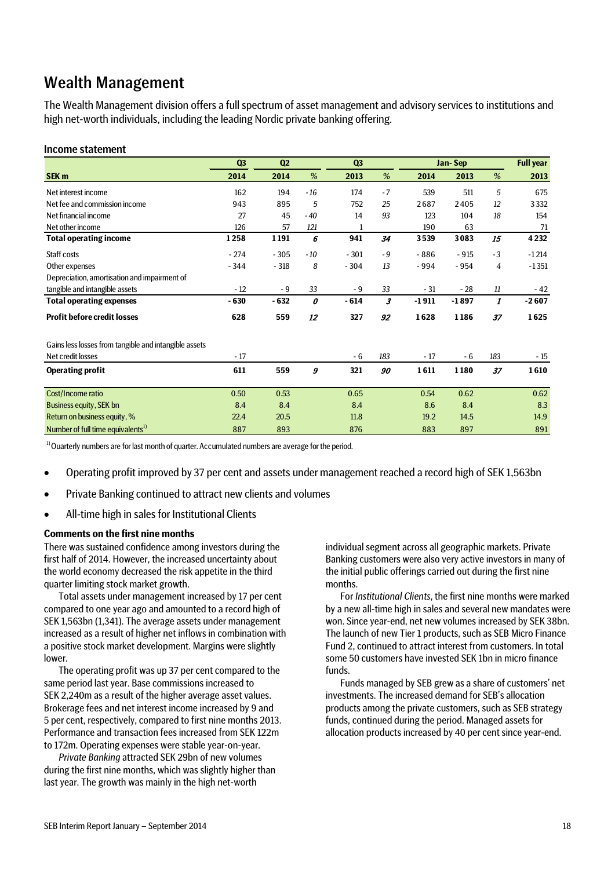# Wealth Management

The Wealth Management division offers a full spectrum of asset management and advisory services to institutions and high net-worth individuals, including the leading Nordic private banking offering.

### Income statement

|                                                       | Q <sub>3</sub> | Q <sub>2</sub> |       | Q <sub>3</sub> |      | Jan-Sep |         | <b>Full year</b> |         |
|-------------------------------------------------------|----------------|----------------|-------|----------------|------|---------|---------|------------------|---------|
| SEK <sub>m</sub>                                      | 2014           | 2014           | %     | 2013           | %    | 2014    | 2013    | %                | 2013    |
| Net interest income                                   | 162            | 194            | $-16$ | 174            | $-7$ | 539     | 511     | 5                | 675     |
| Net fee and commission income                         | 943            | 895            | 5     | 752            | 25   | 2687    | 2405    | 12               | 3332    |
| Net financial income                                  | 27             | 45             | $-40$ | 14             | 93   | 123     | 104     | 18               | 154     |
| Net other income                                      | 126            | 57             | 121   | 1              |      | 190     | 63      |                  | 71      |
| <b>Total operating income</b>                         | 1258           | 1191           | 6     | 941            | 34   | 3539    | 3083    | 15               | 4 2 3 2 |
| Staff costs                                           | $-274$         | $-305$         | $-10$ | $-301$         | $-9$ | $-886$  | $-915$  | $-3$             | $-1214$ |
| Other expenses                                        | $-344$         | $-318$         | 8     | $-304$         | 13   | $-994$  | $-954$  | $\overline{4}$   | $-1351$ |
| Depreciation, amortisation and impairment of          |                |                |       |                |      |         |         |                  |         |
| tangible and intangible assets                        | $-12$          | $-9$           | 33    | - 9            | 33   | $-31$   | $-28$   | 11               | - 42    |
| <b>Total operating expenses</b>                       | $-630$         | $-632$         | 0     | $-614$         | 3    | $-1911$ | $-1897$ | 1                | $-2607$ |
| <b>Profit before credit losses</b>                    | 628            | 559            | 12    | 327            | 92   | 1628    | 1186    | 37               | 1625    |
| Gains less losses from tangible and intangible assets |                |                |       |                |      |         |         |                  |         |
| Net credit losses                                     | $-17$          |                |       | - 6            | 183  | $-17$   | - 6     | 183              | $-15$   |
| <b>Operating profit</b>                               | 611            | 559            | 9     | 321            | 90   | 1611    | 1180    | 37               | 1610    |
| Cost/Income ratio                                     | 0.50           | 0.53           |       | 0.65           |      | 0.54    | 0.62    |                  | 0.62    |
| <b>Business equity, SEK bn</b>                        | 8.4            | 8.4            |       | 8.4            |      | 8.6     | 8.4     |                  | 8.3     |
| Return on business equity, %                          | 22.4           | 20.5           |       | 11.8           |      | 19.2    | 14.5    |                  | 14.9    |
| Number of full time equivalents <sup>1)</sup>         | 887            | 893            |       | 876            |      | 883     | 897     |                  | 891     |

<sup>1)</sup> Ouarterly numbers are for last month of quarter. Accumulated numbers are average for the period.

- Operating profit improved by 37 per cent and assets under management reached a record high of SEK 1,563bn
- Private Banking continued to attract new clients and volumes
- All-time high in sales for Institutional Clients

### **Comments on the first nine months**

There was sustained confidence among investors during the first half of 2014. However, the increased uncertainty about the world economy decreased the risk appetite in the third quarter limiting stock market growth.

Total assets under management increased by 17 per cent compared to one year ago and amounted to a record high of SEK 1,563bn (1,341). The average assets under management increased as a result of higher net inflows in combination with a positive stock market development. Margins were slightly lower.

The operating profit was up 37 per cent compared to the same period last year. Base commissions increased to SEK 2,240m as a result of the higher average asset values. Brokerage fees and net interest income increased by 9 and 5 per cent, respectively, compared to first nine months 2013. Performance and transaction fees increased from SEK 122m to 172m. Operating expenses were stable year-on-year.

*Private Banking* attracted SEK 29bn of new volumes during the first nine months, which was slightly higher than last year. The growth was mainly in the high net-worth

individual segment across all geographic markets. Private Banking customers were also very active investors in many of the initial public offerings carried out during the first nine months.

For *Institutional Clients*, the first nine months were marked by a new all-time high in sales and several new mandates were won. Since year-end, net new volumes increased by SEK 38bn. The launch of new Tier 1 products, such as SEB Micro Finance Fund 2, continued to attract interest from customers. In total some 50 customers have invested SEK 1bn in micro finance funds.

Funds managed by SEB grew as a share of customers' net investments. The increased demand for SEB's allocation products among the private customers, such as SEB strategy funds, continued during the period. Managed assets for allocation products increased by 40 per cent since year-end.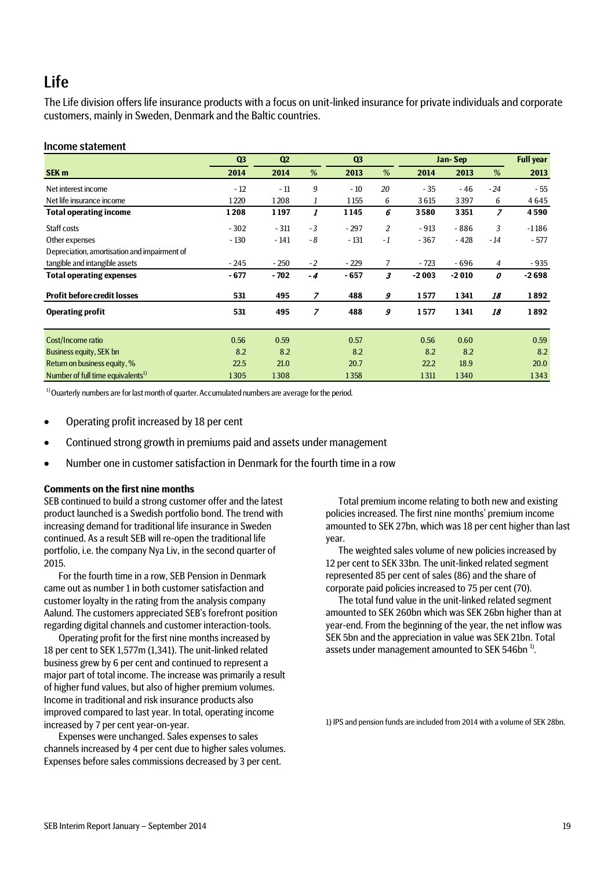# Life

The Life division offers life insurance products with a focus on unit-linked insurance for private individuals and corporate customers, mainly in Sweden, Denmark and the Baltic countries.

### Income statement

|                                               | Q <sub>3</sub> | Q2     |      | Q <sub>3</sub> |                | Jan-Sep |         |       | <b>Full year</b> |
|-----------------------------------------------|----------------|--------|------|----------------|----------------|---------|---------|-------|------------------|
| <b>SEK m</b>                                  | 2014           | 2014   | %    | 2013           | %              | 2014    | 2013    | %     | 2013             |
| Net interest income                           | $-12$          | $-11$  | 9    | $-10$          | 20             | $-35$   | $-46$   | $-24$ | $-55$            |
| Net life insurance income                     | 1220           | 1208   | 1    | 1155           | 6              | 3615    | 3397    | 6     | 4645             |
| <b>Total operating income</b>                 | 1208           | 1197   | 1    | 1145           | 6              | 3580    | 3351    | 7     | 4590             |
| Staff costs                                   | $-302$         | $-311$ | $-3$ | $-297$         | 2              | $-913$  | $-886$  | 3     | $-1186$          |
| Other expenses                                | $-130$         | $-141$ | $-8$ | $-131$         | $-1$           | $-367$  | $-428$  | $-14$ | $-577$           |
| Depreciation, amortisation and impairment of  |                |        |      |                |                |         |         |       |                  |
| tangible and intangible assets                | $-245$         | $-250$ | $-2$ | $-229$         | $\overline{7}$ | $-723$  | - 696   | 4     | $-935$           |
| <b>Total operating expenses</b>               | $-677$         | $-702$ | $-4$ | $-657$         | 3              | $-2003$ | $-2010$ | 0     | $-2698$          |
| <b>Profit before credit losses</b>            | 531            | 495    | 7    | 488            | 9              | 1577    | 1341    | 18    | 1892             |
| <b>Operating profit</b>                       | 531            | 495    | 7    | 488            | 9              | 1577    | 1341    | 18    | 1892             |
| Cost/Income ratio                             | 0.56           | 0.59   |      | 0.57           |                | 0.56    | 0.60    |       | 0.59             |
| Business equity, SEK bn                       | 8.2            | 8.2    |      | 8.2            |                | 8.2     | 8.2     |       | 8.2              |
| Return on business equity, %                  | 22.5           | 21.0   |      | 20.7           |                | 22.2    | 18.9    |       | 20.0             |
| Number of full time equivalents <sup>1)</sup> | 1305           | 1308   |      | 1358           |                | 1311    | 1340    |       | 1343             |

 $1)$  Ouarterly numbers are for last month of quarter. Accumulated numbers are average for the period.

- Operating profit increased by 18 per cent
- Continued strong growth in premiums paid and assets under management
- Number one in customer satisfaction in Denmark for the fourth time in a row

### **Comments on the first nine months**

SEB continued to build a strong customer offer and the latest product launched is a Swedish portfolio bond. The trend with increasing demand for traditional life insurance in Sweden continued. As a result SEB will re-open the traditional life portfolio, i.e. the company Nya Liv, in the second quarter of 2015.

For the fourth time in a row, SEB Pension in Denmark came out as number 1 in both customer satisfaction and customer loyalty in the rating from the analysis company Aalund. The customers appreciated SEB's forefront position regarding digital channels and customer interaction-tools.

Operating profit for the first nine months increased by 18 per cent to SEK 1,577m (1,341). The unit-linked related business grew by 6 per cent and continued to represent a major part of total income. The increase was primarily a result of higher fund values, but also of higher premium volumes. Income in traditional and risk insurance products also improved compared to last year. In total, operating income increased by 7 per cent year-on-year.

Expenses were unchanged. Sales expenses to sales channels increased by 4 per cent due to higher sales volumes. Expenses before sales commissions decreased by 3 per cent.

Total premium income relating to both new and existing policies increased. The first nine months' premium income amounted to SEK 27bn, which was 18 per cent higher than last year.

The weighted sales volume of new policies increased by 12 per cent to SEK 33bn. The unit-linked related segment represented 85 per cent of sales (86) and the share of corporate paid policies increased to 75 per cent (70).

The total fund value in the unit-linked related segment amounted to SEK 260bn which was SEK 26bn higher than at year-end. From the beginning of the year, the net inflow was SEK 5bn and the appreciation in value was SEK 21bn. Total assets under management amounted to SEK 546bn<sup>1)</sup>.

1) IPS and pension funds are included from 2014 with a volume of SEK 28bn.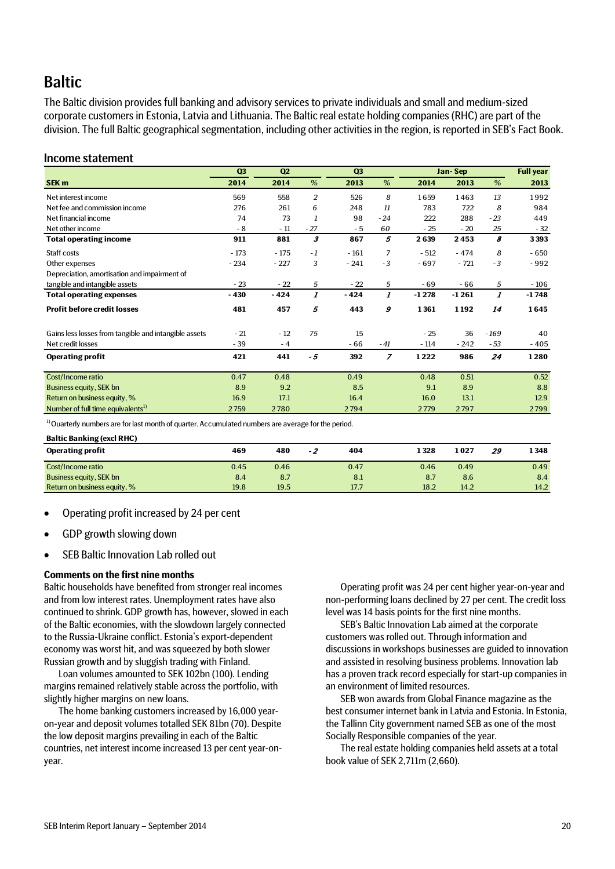# **Baltic**

The Baltic division provides full banking and advisory services to private individuals and small and medium-sized corporate customers in Estonia, Latvia and Lithuania. The Baltic real estate holding companies (RHC) are part of the division. The full Baltic geographical segmentation, including other activities in the region, is reported in SEB's Fact Book.

## Income statement

|                                                       | Q <sub>3</sub> | Q2     |                  | Q <sub>3</sub> |                |         | Jan-Sep |                           | <b>Full year</b> |
|-------------------------------------------------------|----------------|--------|------------------|----------------|----------------|---------|---------|---------------------------|------------------|
| SEK <sub>m</sub>                                      | 2014           | 2014   | %                | 2013           | %              | 2014    | 2013    | %                         | 2013             |
| Net interest income                                   | 569            | 558    | $\overline{c}$   | 526            | 8              | 1659    | 1463    | 13                        | 1992             |
| Net fee and commission income                         | 276            | 261    | 6                | 248            | 11             | 783     | 722     | 8                         | 984              |
| Net financial income                                  | 74             | 73     | 1                | 98             | $-24$          | 222     | 288     | $-23$                     | 449              |
| Net other income                                      | - 8            | $-11$  | $-27$            | $-5$           | 60             | $-25$   | $-20$   | 25                        | $-32$            |
| <b>Total operating income</b>                         | 911            | 881    | 3                | 867            | 5              | 2639    | 2453    | 8                         | 3393             |
| Staff costs                                           | $-173$         | $-175$ | $-1$             | $-161$         | $\overline{7}$ | $-512$  | $-474$  | 8                         | $-650$           |
| Other expenses                                        | $-234$         | $-227$ | 3                | $-241$         | $-3$           | $-697$  | $-721$  | $-3$                      | $-992$           |
| Depreciation, amortisation and impairment of          |                |        |                  |                |                |         |         |                           |                  |
| tangible and intangible assets                        | $-23$          | $-22$  | 5                | $-22$          | 5              | $-69$   | - 66    | 5                         | $-106$           |
| <b>Total operating expenses</b>                       | $-430$         | $-424$ | $\boldsymbol{I}$ | $-424$         | 1              | $-1278$ | $-1261$ | $\boldsymbol{\mathit{1}}$ | $-1748$          |
| <b>Profit before credit losses</b>                    | 481            | 457    | 5                | 443            | 9              | 1361    | 1192    | 14                        | 1645             |
| Gains less losses from tangible and intangible assets | $-21$          | $-12$  | 75               | 15             |                | $-25$   | 36      | $-169$                    | 40               |
| Net credit losses                                     | $-39$          | $-4$   |                  | $-66$          | $-41$          | $-114$  | $-242$  | - 53                      | - 405            |
| <b>Operating profit</b>                               | 421            | 441    | - 5              | 392            | $\overline{z}$ | 1222    | 986     | 24                        | 1280             |
|                                                       |                |        |                  |                |                |         |         |                           |                  |
| Cost/Income ratio                                     | 0.47           | 0.48   |                  | 0.49           |                | 0.48    | 0.51    |                           | 0.52             |
| Business equity, SEK bn                               | 8.9            | 9.2    |                  | 8.5            |                | 9.1     | 8.9     |                           | 8.8              |
| Return on business equity, %                          | 16.9           | 17.1   |                  | 16.4           |                | 16.0    | 13.1    |                           | 12.9             |
| Number of full time equivalents <sup>1)</sup>         | 2759           | 2780   |                  | 2794           |                | 2779    | 2797    |                           | 2799             |

<sup>1)</sup> Ouarterly numbers are for last month of quarter. Accumulated numbers are average for the period.

**Baltic Banking (excl RHC)**

| <b>Operating profit</b>        | 469  | 480  | -2 | 404  | 1 328 | 1 0 2 7 | 29 | 1 348 |
|--------------------------------|------|------|----|------|-------|---------|----|-------|
| <b>Cost/Income ratio</b>       | 0.45 | 0.46 |    | 0.47 | 0.46  | 0.49    |    | 0.49  |
| <b>Business equity, SEK bn</b> | 8.4  | 8.7  |    | 8.1  | 8.7   | 8.6     |    | 8.4   |
| Return on business equity, %   | 19.8 | 19.5 |    | 17.7 | 18.2  | 14.2    |    | 14.2  |

- Operating profit increased by 24 per cent
- GDP growth slowing down
- SEB Baltic Innovation Lab rolled out

## **Comments on the first nine months**

Baltic households have benefited from stronger real incomes and from low interest rates. Unemployment rates have also continued to shrink. GDP growth has, however, slowed in each of the Baltic economies, with the slowdown largely connected to the Russia-Ukraine conflict. Estonia's export-dependent economy was worst hit, and was squeezed by both slower Russian growth and by sluggish trading with Finland.

Loan volumes amounted to SEK 102bn (100). Lending margins remained relatively stable across the portfolio, with slightly higher margins on new loans.

The home banking customers increased by 16,000 yearon-year and deposit volumes totalled SEK 81bn (70). Despite the low deposit margins prevailing in each of the Baltic countries, net interest income increased 13 per cent year-onyear.

Operating profit was 24 per cent higher year-on-year and non-performing loans declined by 27 per cent. The credit loss level was 14 basis points for the first nine months.

SEB's Baltic Innovation Lab aimed at the corporate customers was rolled out. Through information and discussions in workshops businesses are guided to innovation and assisted in resolving business problems. Innovation lab has a proven track record especially for start-up companies in an environment of limited resources.

SEB won awards from Global Finance magazine as the best consumer internet bank in Latvia and Estonia. In Estonia, the Tallinn City government named SEB as one of the most Socially Responsible companies of the year.

The real estate holding companies held assets at a total book value of SEK 2,711m (2,660).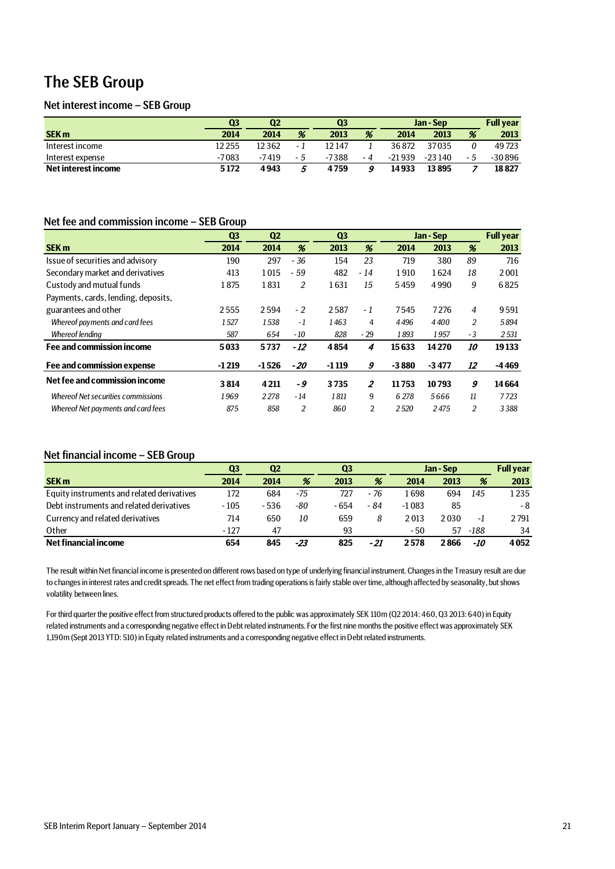# The SEB Group

## Net interest income – SEB Group

|                     | Ο3      | $\bf Q2$ | Q3  |        |     | Jan - Sep |          | <b>Full vear</b> |          |
|---------------------|---------|----------|-----|--------|-----|-----------|----------|------------------|----------|
| <b>SEK m</b>        | 2014    | 2014     | %   | 2013   | %   | 2014      | 2013     | %                | 2013     |
| Interest income     | 12 255  | 12362    | - 1 | 12 147 |     | 36872     | 37035    |                  | 49723    |
| Interest expense    | $-7083$ | $-7419$  | - 5 | -7388  | - 4 | $-21939$  | $-23140$ | - 5              | $-30896$ |
| Net interest income | 5172    | 4943     | b   | 4759   |     | 14933     | 13895    |                  | 18827    |

# Net fee and commission income – SEB Group

|                                     | Q <sub>3</sub> | Q <sub>2</sub> |                | Q <sub>3</sub> |                | Jan - Sep |         |                | <b>Full year</b> |
|-------------------------------------|----------------|----------------|----------------|----------------|----------------|-----------|---------|----------------|------------------|
| <b>SEK m</b>                        | 2014           | 2014           | %              | 2013           | %              | 2014      | 2013    | %              | 2013             |
| Issue of securities and advisory    | 190            | 297            | $-36$          | 154            | 23             | 719       | 380     | 89             | 716              |
| Secondary market and derivatives    | 413            | 1015           | $-59$          | 482            | $-14$          | 1910      | 1624    | 18             | 2001             |
| Custody and mutual funds            | 1875           | 1831           | 2              | 1631           | 15             | 5459      | 4990    | 9              | 6825             |
| Payments, cards, lending, deposits, |                |                |                |                |                |           |         |                |                  |
| guarantees and other                | 2555           | 2594           | $-2$           | 2587           | $-1$           | 7545      | 7276    | $\overline{4}$ | 9591             |
| Whereof payments and card fees      | 1527           | 1538           | - 1            | 1463           | 4              | 4496      | 4400    | 2              | 5894             |
| <b>Whereof lending</b>              | 587            | 654            | $-10$          | 828            | $-29$          | 1893      | 1957    | $-3$           | 2531             |
| Fee and commission income           | 5033           | 5737           | $-12$          | 4854           | 4              | 15633     | 14270   | 10             | 19133            |
| Fee and commission expense          | $-1219$        | $-1526$        | - 20           | $-1119$        | 9              | $-3880$   | $-3477$ | 12             | $-4469$          |
| Net fee and commission income       | 3814           | 4211           | - 9            | 3735           | $\overline{z}$ | 11753     | 10793   | 9              | 14664            |
| Whereof Net securities commissions  | 1969           | 2278           | $-14$          | 1811           | 9              | 6 2 7 8   | 5666    | 11             | 7723             |
| Whereof Net payments and card fees  | 875            | 858            | $\overline{2}$ | 860            | 2              | 2520      | 2475    | 2              | 3388             |

### Net financial income – SEB Group

|                                            | Q <sub>3</sub> | Q <sub>2</sub> |       | Q3    |      | Jan - Sep |      |      | <b>Full year</b> |
|--------------------------------------------|----------------|----------------|-------|-------|------|-----------|------|------|------------------|
| <b>SEK m</b>                               | 2014           | 2014           | %     | 2013  | %    | 2014      | 2013 | %    | 2013             |
| Equity instruments and related derivatives | 172            | 684            | -75   | 727   | - 76 | 1 698     | 694  | 145  | 1235             |
| Debt instruments and related derivatives   | $-105$         | $-536$         | -80   | - 654 | - 84 | $-1083$   | 85   |      | - 8              |
| Currency and related derivatives           | 714            | 650            | 10    | 659   | 8    | 2013      | 2030 | -1   | 2791             |
| Other                                      | $-127$         | 47             |       | 93    |      | - 50      | 57   | -188 | 34               |
| Net financial income                       | 654            | 845            | $-23$ | 825   | - 21 | 2578      | 2866 | -10  | 4052             |

The result within Net financial income is presented on different rows based on type of underlying financial instrument. Changes in the Treasury result are due to changes in interest rates and credit spreads. The net effect from trading operations is fairly stable over time, although affected by seasonality, but shows volatility between lines.

For third quarter the positive effect from structured products offered to the public was approximately SEK 110m (Q2 2014: 460, Q3 2013: 640) in Equity related instruments and a corresponding negative effect in Debt related instruments. For the first nine months the positive effect was approximately SEK 1,190m (Sept 2013 YTD: 510) in Equity related instruments and a corresponding negative effect in Debt related instruments.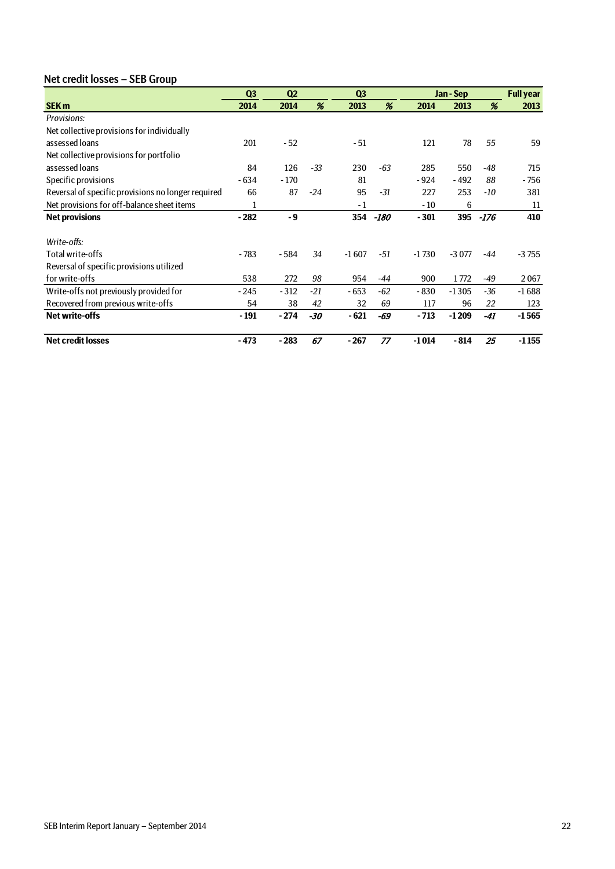# Net credit losses – SEB Group

|                                                    | Q <sub>3</sub> | Q <sub>2</sub> |       | Q <sub>3</sub> |       |         | Jan - Sep |       | <b>Full year</b> |
|----------------------------------------------------|----------------|----------------|-------|----------------|-------|---------|-----------|-------|------------------|
| <b>SEK m</b>                                       | 2014           | 2014           | %     | 2013           | %     | 2014    | 2013      | %     | 2013             |
| Provisions:                                        |                |                |       |                |       |         |           |       |                  |
| Net collective provisions for individually         |                |                |       |                |       |         |           |       |                  |
| assessed loans                                     | 201            | $-52$          |       | $-51$          |       | 121     | 78        | 55    | 59               |
| Net collective provisions for portfolio            |                |                |       |                |       |         |           |       |                  |
| assessed loans                                     | 84             | 126            | $-33$ | 230            | -63   | 285     | 550       | -48   | 715              |
| Specific provisions                                | $-634$         | $-170$         |       | 81             |       | $-924$  | $-492$    | 88    | - 756            |
| Reversal of specific provisions no longer required | 66             | 87             | $-24$ | 95             | $-31$ | 227     | 253       | -10   | 381              |
| Net provisions for off-balance sheet items         | 1              |                |       | $-1$           |       | $-10$   | 6         |       | 11               |
| <b>Net provisions</b>                              | $-282$         | - 9            |       | 354            | -180  | $-301$  | 395       | -176  | 410              |
|                                                    |                |                |       |                |       |         |           |       |                  |
| Write-offs:                                        |                |                |       |                |       |         |           |       |                  |
| Total write-offs                                   | $-783$         | - 584          | 34    | $-1607$        | -51   | $-1730$ | $-3077$   | $-44$ | $-3755$          |
| Reversal of specific provisions utilized           |                |                |       |                |       |         |           |       |                  |
| for write-offs                                     | 538            | 272            | 98    | 954            | -44   | 900     | 1772      | -49   | 2067             |
| Write-offs not previously provided for             | $-245$         | $-312$         | $-21$ | - 653          | $-62$ | $-830$  | $-1305$   | $-36$ | $-1688$          |
| Recovered from previous write-offs                 | 54             | 38             | 42    | 32             | 69    | 117     | 96        | 22    | 123              |
| <b>Net write-offs</b>                              | - 191          | $-274$         | -30   | $-621$         | -69   | $-713$  | $-1209$   | -41   | $-1565$          |
| <b>Net credit losses</b>                           | $-473$         | $-283$         | 67    | - 267          | 77    | $-1014$ | $-814$    | 25    | $-1155$          |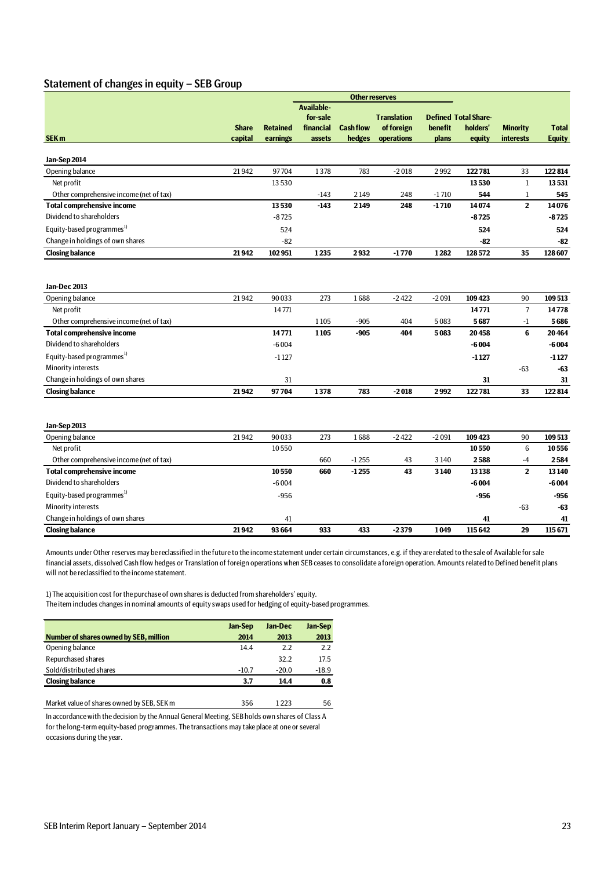## Statement of changes in equity – SEB Group

|                                         | <b>Other reserves</b> |                 |                   |                  |                    |         |                             |                  |               |
|-----------------------------------------|-----------------------|-----------------|-------------------|------------------|--------------------|---------|-----------------------------|------------------|---------------|
|                                         |                       |                 | <b>Available-</b> |                  |                    |         |                             |                  |               |
|                                         |                       |                 | for-sale          |                  | <b>Translation</b> |         | <b>Defined Total Share-</b> |                  |               |
|                                         | <b>Share</b>          | <b>Retained</b> | financial         | <b>Cash flow</b> | of foreign         | benefit | holders'                    | <b>Minority</b>  | <b>Total</b>  |
| SEK <sub>m</sub>                        | capital               | earnings        | assets            | hedges           | operations         | plans   | equity                      | <b>interests</b> | <b>Equity</b> |
| Jan-Sep 2014                            |                       |                 |                   |                  |                    |         |                             |                  |               |
| Opening balance                         | 21942                 | 97704           | 1378              | 783              | $-2018$            | 2992    | 122781                      | 33               | 122814        |
| Net profit                              |                       | 13530           |                   |                  |                    |         | 13530                       | 1                | 13531         |
| Other comprehensive income (net of tax) |                       |                 | $-143$            | 2149             | 248                | $-1710$ | 544                         | 1                | 545           |
| <b>Total comprehensive income</b>       |                       | 13530           | $-143$            | 2149             | 248                | $-1710$ | 14074                       | $\mathbf 2$      | 14076         |
| Dividend to shareholders                |                       | $-8725$         |                   |                  |                    |         | $-8725$                     |                  | $-8725$       |
| Equity-based programmes <sup>1)</sup>   |                       | 524             |                   |                  |                    |         | 524                         |                  | 524           |
| Change in holdings of own shares        |                       | $-82$           |                   |                  |                    |         | -82                         |                  | $-82$         |
| <b>Closing balance</b>                  | 21942                 | 102951          | 1235              | 2932             | $-1770$            | 1282    | 128572                      | 35               | 128607        |
|                                         |                       |                 |                   |                  |                    |         |                             |                  |               |
| Jan-Dec 2013                            |                       |                 |                   |                  |                    |         |                             |                  |               |
| Opening balance                         | 21942                 | 90033           | 273               | 1688             | $-2422$            | $-2091$ | 109423                      | 90               | 109513        |
| Net profit                              |                       | 14771           |                   |                  |                    |         | 14771                       | $\overline{7}$   | 14778         |
| Other comprehensive income (net of tax) |                       |                 | 1105              | $-905$           | 404                | 5083    | 5687                        | $-1$             | 5686          |
| <b>Total comprehensive income</b>       |                       | 14771           | 1105              | $-905$           | 404                | 5083    | 20458                       | 6                | 20464         |
| Dividend to shareholders                |                       | $-6004$         |                   |                  |                    |         | $-6004$                     |                  | $-6004$       |
| Equity-based programmes <sup>1)</sup>   |                       | $-1127$         |                   |                  |                    |         | $-1127$                     |                  | $-1127$       |
| Minority interests                      |                       |                 |                   |                  |                    |         |                             | $-63$            | -63           |
| Change in holdings of own shares        |                       | 31              |                   |                  |                    |         | 31                          |                  | 31            |
| <b>Closing balance</b>                  | 21942                 | 97704           | 1378              | 783              | $-2018$            | 2992    | 122781                      | 33               | 122814        |
|                                         |                       |                 |                   |                  |                    |         |                             |                  |               |
| Jan-Sep 2013                            |                       |                 |                   |                  |                    |         |                             |                  |               |
| Opening balance                         | 21942                 | 90033           | 273               | 1688             | $-2422$            | $-2091$ | 109423                      | 90               | 109513        |
| Net profit                              |                       | 10550           |                   |                  |                    |         | 10550                       | $6\phantom{1}6$  | 10556         |
| Other comprehensive income (net of tax) |                       |                 | 660               | $-1255$          | 43                 | 3140    | 2588                        | -4               | 2584          |
| <b>Total comprehensive income</b>       |                       | 10550           | 660               | $-1255$          | 43                 | 3140    | 13138                       | $\mathbf 2$      | 13140         |
| Dividend to shareholders                |                       | $-6004$         |                   |                  |                    |         | $-6004$                     |                  | $-6004$       |
| Equity-based programmes <sup>1)</sup>   |                       | $-956$          |                   |                  |                    |         | $-956$                      |                  | -956          |
| Minority interests                      |                       |                 |                   |                  |                    |         |                             | $-63$            | -63           |
| Change in holdings of own shares        |                       | 41              |                   |                  |                    |         | 41                          |                  | 41            |
| <b>Closing balance</b>                  | 21942                 | 93 664          | 933               | 433              | $-2379$            | 1049    | 115642                      | 29               | 115671        |

Amounts under Other reserves may be reclassified in the future to the income statement under certain circumstances, e.g. if they are related to the sale of Available for sale financial assets, dissolved Cash flow hedges or Translation of foreign operations when SEB ceases to consolidate a foreign operation. Amounts related to Defined benefit plans will not be reclassified to the income statement.

1) The acquisition cost for the purchase of own shares is deducted from shareholders' equity. The item includes changes in nominal amounts of equity swaps used for hedging of equity-based programmes.

|                                        | <b>Jan-Sep</b> | Jan-Dec | <b>Jan-Sep</b> |
|----------------------------------------|----------------|---------|----------------|
| Number of shares owned by SEB, million | 2014           | 2013    | 2013           |
| Opening balance                        | 14.4           | 2.2     | 2.2            |
| Repurchased shares                     |                | 32.2    | 17.5           |
| Sold/distributed shares                | $-10.7$        | $-20.0$ | $-18.9$        |
| <b>Closing balance</b>                 | 3.7            | 14.4    | 0.8            |
|                                        |                |         |                |

In accordance with the decision by the Annual General Meeting, SEB holds own shares of Class A for the long-term equity-based programmes. The transactions may take place at one or several occasions during the year.

Market value of shares owned by SEB, SEK m 356 1223 56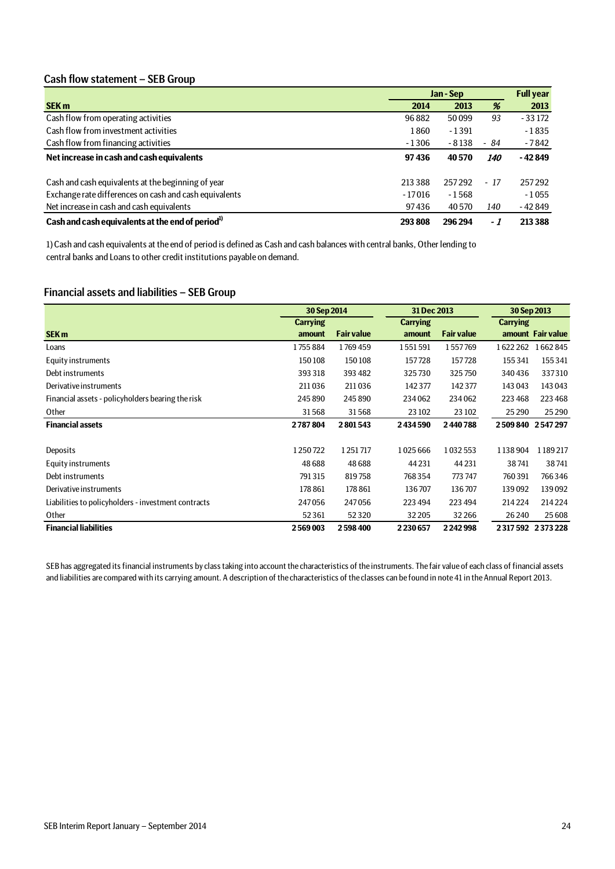# Cash flow statement – SEB Group

|                                                              | Jan - Sep |         | <b>Full year</b> |          |
|--------------------------------------------------------------|-----------|---------|------------------|----------|
| <b>SEK m</b>                                                 | 2014      | 2013    | %                | 2013     |
| Cash flow from operating activities                          | 96882     | 50099   | 93               | $-33172$ |
| Cash flow from investment activities                         | 1860      | $-1391$ |                  | $-1835$  |
| Cash flow from financing activities                          | $-1306$   | $-8138$ | - 84             | - 7842   |
| Net increase in cash and cash equivalents                    | 97436     | 40570   | <i>140</i>       | - 42 849 |
| Cash and cash equivalents at the beginning of year           | 213 388   | 257292  | $-17$            | 257292   |
| Exchange rate differences on cash and cash equivalents       | $-17016$  | $-1568$ |                  | $-1055$  |
| Net increase in cash and cash equivalents                    | 97436     | 40 5 70 | 140              | - 42 849 |
| Cash and cash equivalents at the end of period <sup>1)</sup> | 293808    | 296 294 | - 1              | 213 388  |

1) Cash and cash equivalents at the end of period is defined as Cash and cash balances with central banks, Other lending to central banks and Loans to other credit institutions payable on demand.

# Financial assets and liabilities – SEB Group

|                                                     | 30 Sep 2014     |                   | 31 Dec 2013     |                   | 30 Sep 2013     |                     |
|-----------------------------------------------------|-----------------|-------------------|-----------------|-------------------|-----------------|---------------------|
|                                                     | <b>Carrying</b> |                   | <b>Carrying</b> |                   | <b>Carrying</b> |                     |
| <b>SEK m</b>                                        | amount          | <b>Fair value</b> | amount          | <b>Fair value</b> |                 | amount Fair value   |
| Loans                                               | 1755884         | 1769459           | 1551591         | 1557769           | 1622262         | 1662845             |
| Equity instruments                                  | 150108          | 150108            | 157728          | 157728            | 155 341         | 155341              |
| Debt instruments                                    | 393318          | 393 482           | 325730          | 325750            | 340436          | 337310              |
| Derivative instruments                              | 211036          | 211036            | 142377          | 142 377           | 143 043         | 143 043             |
| Financial assets - policyholders bearing the risk   | 245 890         | 245 890           | 234062          | 234062            | 223 468         | 223 468             |
| Other                                               | 31568           | 31568             | 23 10 2         | 23 10 2           | 25 2 90         | 25 290              |
| <b>Financial assets</b>                             | 2787804         | 2801543           | 2434590         | 2440788           |                 | 2 509 840 2 547 297 |
|                                                     |                 |                   |                 |                   |                 |                     |
| Deposits                                            | 1250722         | 1251717           | 1025666         | 1032553           | 1138904         | 1189217             |
| Equity instruments                                  | 48688           | 48688             | 44 2 31         | 44 2 31           | 38741           | 38741               |
| Debt instruments                                    | 791315          | 819758            | 768354          | 773 747           | 760391          | 766346              |
| Derivative instruments                              | 178 861         | 178 861           | 136707          | 136707            | 139092          | 139092              |
| Liabilities to policyholders - investment contracts | 247056          | 247056            | 223 494         | 223 494           | 214 224         | 214 224             |
| Other                                               | 52 3 61         | 52320             | 32 205          | 32266             | 26 240          | 25 608              |
| <b>Financial liabilities</b>                        | 2569003         | 2598400           | 2230657         | 2242998           |                 | 2 317 592 2 373 228 |

SEB has aggregated its financial instruments by class taking into account the characteristics of the instruments. The fair value of each class of financial assets and liabilities are compared with its carrying amount. A description of the characteristics of the classes can be found in note 41 in the Annual Report 2013.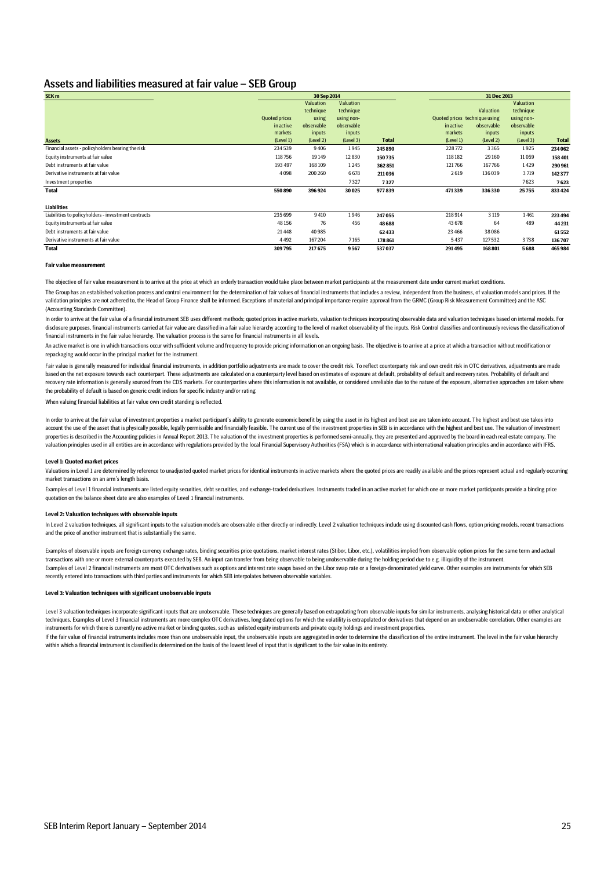### Assets and liabilities measured at fair value – SEB Group

| SEK <sub>m</sub>                                    |                      | 30 Sep 2014 |            |              |                               | 31 Dec 2013 |            |              |  |  |
|-----------------------------------------------------|----------------------|-------------|------------|--------------|-------------------------------|-------------|------------|--------------|--|--|
|                                                     |                      | Valuation   | Valuation  |              |                               |             | Valuation  |              |  |  |
|                                                     |                      | technique   | technique  |              |                               | Valuation   | technique  |              |  |  |
|                                                     | <b>Quoted prices</b> | using       | using non- |              | Quoted prices technique using |             | using non- |              |  |  |
|                                                     | in active            | observable  | observable |              | in active                     | observable  | observable |              |  |  |
|                                                     | markets              | inputs      | inputs     |              | markets                       | inputs      | inputs     |              |  |  |
| <b>Assets</b>                                       | (Level 1)            | (Level 2)   | (Level 3)  | <b>Total</b> | (Level 1)                     | (Level 2)   | (Level 3)  | <b>Total</b> |  |  |
| Financial assets - policyholders bearing the risk   | 234539               | 9406        | 1945       | 245 890      | 228772                        | 3365        | 1925       | 234062       |  |  |
| Equity instruments at fair value                    | 118756               | 19149       | 12830      | 150735       | 118182                        | 29 160      | 11059      | 158 401      |  |  |
| Debt instruments at fair value                      | 193 497              | 168 109     | 1245       | 362851       | 121766                        | 167766      | 1429       | 290 961      |  |  |
| Derivative instruments at fair value                | 4098                 | 200 260     | 6678       | 211036       | 2619                          | 136039      | 3719       | 142377       |  |  |
| Investment properties                               |                      |             | 7327       | 7327         |                               |             | 7623       | 7623         |  |  |
| <b>Total</b>                                        | 550890               | 396924      | 30025      | 977839       | 471339                        | 336330      | 25755      | 833424       |  |  |
| <b>Liabilities</b>                                  |                      |             |            |              |                               |             |            |              |  |  |
| Liabilities to policyholders - investment contracts | 235699               | 9410        | 1946       | 247 055      | 218914                        | 3 1 1 9     | 1461       | 223494       |  |  |
| Equity instruments at fair value                    | 48 156               | 76          | 456        | 48 6 88      | 43 678                        | 64          | 489        | 44 231       |  |  |
| Debt instruments at fair value                      | 21448                | 40985       |            | 62433        | 23 4 66                       | 38086       |            | 61552        |  |  |
| Derivative instruments at fair value                | 4492                 | 167204      | 7165       | 178 861      | 5437                          | 127532      | 3738       | 136707       |  |  |
| <b>Total</b>                                        | 309795               | 217675      | 9567       | 537037       | 291495                        | 168 801     | 5688       | 465984       |  |  |

#### **Fair value measurent**

The objective of fair value measurement is to arrive at the price at which an orderly transaction would take place between market participants at the measurement date under current market conditions

The Group has an established valuation process and control environment for the determination of fair values of financial instruments that includes a review, independent from the business, of valuation models and prices. If validation principles are not adhered to, the Head of Group Finance shall be informed. Exceptions of material and principal importance require approval from the GRMC (Group Risk Measurement Committee) and the ASC (Accounting Standards Committee).

In order to arrive at the fair value of a financial instrument SEB uses different methods; quoted prices in active markets, valuation techniques incorporating observable data and valuation techniques based on internal mode disclosure purposes, financial instruments carried at fair value are classified in a fair value hierarchy according to the level of market observability of the inputs. Risk Control classifies and continuously reviews the c financial instruments in the fair value hierarchy. The valuation process is the same for financial instruments in all levels

An active market is one in which transactions occur with sufficient volume and frequency to provide pricing information on an ongoing basis. The objective is to arrive at a price at which a transaction without modification repackaging would occur in the principal market for the instrument.

Fair value is generally measured for individual financial instruments, in addition portfolio adjustments are made to cover the credit risk. To reflect counterparty risk and own credit risk in OTC derivatives, adjustments a based on the net exposure towards each counterpart. These adjustments are calculated on a counterparty level based on estimates of exposure at default, probability of default and recovery rates. Probability of default and recovery rate information is generally sourced from the CDS markets. For counterparties where this information is not available, or considered unreliable due to the nature of the exposure, alternative approaches are taken the probability of default is based on generic credit indices for specific industry and/or rating.

When valuing financial liabilities at fair value own credit standing is reflected.

In order to arrive at the fair value of investment properties a market participant's ability to generate economic benefit by using the asset in its highest and best use are taken into account. The highest and best use take account the use of the asset that is physically possible, legally permissible and financially feasible. The current use of the investment properties in SEB is in accordance with the highest and best use. The valuation of i properties is described in the Accounting policies in Annual Report 2013. The valuation of the investment properties is performed semi-annually, they are presented and approved by the board in each real estate company. The valuation principles used in all entities are in accordance with regulations provided by the local Financial Supervisory Authorities (FSA) which is in accordance with international valuation principles and in accordance wi

#### **Level 1: Quoted market prices**

Valuations in Level 1 are determined by reference to unadjusted quoted market prices for identical instruments in active markets where the quoted prices are readily available and the prices represent actual and regularly o market transactions on an arm's length basis.

Examples of Level 1 financial instruments are listed equity securities, debt securities, and exchange-traded derivatives. Instruments traded in an active market for which one or more market participants provide a binding p quotation on the balance sheet date are also examples of Level 1 financial instrument

#### **Level 2: Valuation techniques with observable inputs**

In Level 2 valuation techniques, all significant inputs to the valuation models are observable either directly or indirectly. Level 2 valuation techniques include using discounted cash flows, option pricing models, recent and the price of another instrument that is substantially the same.

Examples of observable inputs are foreign currency exchange rates, binding securities price quotations, market interest rates (Stibor, Libor, etc.), volatilities implied from observable option prices for the same term and transactions with one or more external counterparts executed by SEB. An input can transfer from being observable to being unobservable during the holding period due to e.g. illiquidity of the instrument. Examples of Level 2 financial instruments are most OTC derivatives such as options and interest rate swaps based on the Libor swap rate or a foreign-denominated yield curve. Other examples are instruments for which SEB recently entered into transactions with third parties and instruments for which SEB interpolates between observable variables.

#### **Level 3: Valuation techniques with significant unobservable inputs**

If the fair value of financial instruments includes more than one unobservable input, the unobservable inputs are aggregated in order to determine the classification of the entire instrument. The level in the fair value hi within which a financial instrument is classified is determined on the basis of the lowest level of input that is significant to the fair value in its entirety. Level 3 valuation techniques incorporate significant inputs that are unobservable. These techniques are generally based on extrapolating from observable inputs for similar instruments, analysing historical data or other an techniques. Examples of Level 3 financial instruments are more complex OTC derivatives, long dated options for which the volatility is extrapolated or derivatives that depend on an unobservable correlation. Other examples instruments for which there is currently no active market or binding quotes, such as unlisted equity instruments and private equity holdings and investment properties.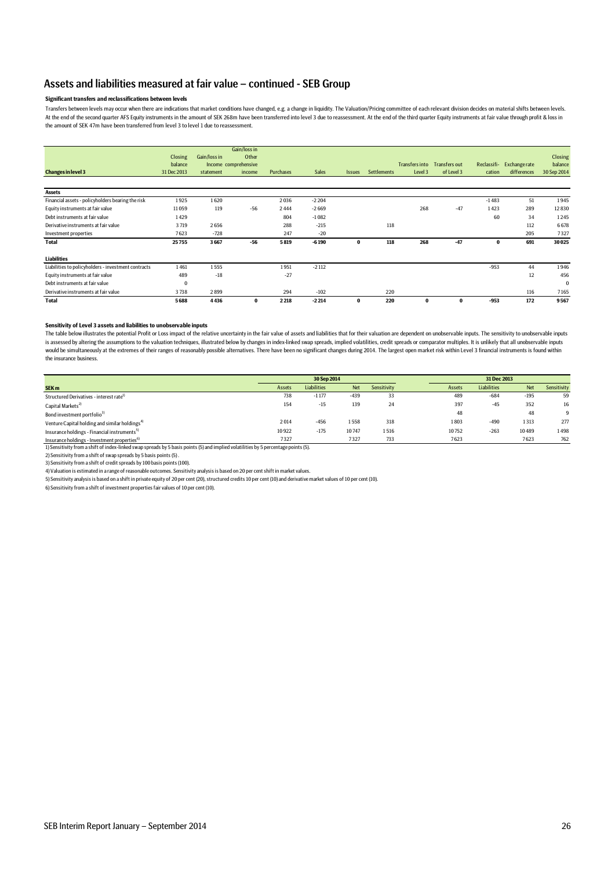### Assets and liabilities measured at fair value – continued - SEB Group

### **Significant transfers and reclassifications between levels**

Iransters between levels may occur when there are indications that market conditions have changed, e.g. a change in liquidity. The Valuation/Pricing committee of each relevant division decides on material shifts between le At the end of the second quarter AFS Equity instruments in the amount of SEK 268m have been transferred into level 3 due to reassessment. At the end of the third quarter Equity instruments at fair value through profit & lo the amount of SEK 47m have been transferred from level 3 to level 1 due to reassessment.

|                                                     |             |              | Gain/loss in         |           |              |               |             |          |                              |             |                     |                |
|-----------------------------------------------------|-------------|--------------|----------------------|-----------|--------------|---------------|-------------|----------|------------------------------|-------------|---------------------|----------------|
|                                                     | Closing     | Gain/loss in | Other                |           |              |               |             |          |                              |             |                     | <b>Closing</b> |
|                                                     | balance     |              | Income comprehensive |           |              |               |             |          | Transfers into Transfers out | Reclassifi- | <b>Exchangerate</b> | balance        |
| <b>Changes in level 3</b>                           | 31 Dec 2013 | statement    | income               | Purchases | <b>Sales</b> | <b>Issues</b> | Settlements | Level 3  | of Level 3                   | cation      | differences         | 30 Sep 2014    |
|                                                     |             |              |                      |           |              |               |             |          |                              |             |                     |                |
| <b>Assets</b>                                       |             |              |                      |           |              |               |             |          |                              |             |                     |                |
| Financial assets - policyholders bearing the risk   | 1925        | 1620         |                      | 2036      | $-2204$      |               |             |          |                              | $-1483$     | 51                  | 1945           |
| Equity instruments at fair value                    | 11059       | 119          | $-56$                | 2444      | $-2669$      |               |             | 268      | $-47$                        | 1423        | 289                 | 12830          |
| Debt instruments at fair value                      | 1429        |              |                      | 804       | $-1082$      |               |             |          |                              | 60          | 34                  | 1245           |
| Derivative instruments at fair value                | 3719        | 2656         |                      | 288       | $-215$       |               | 118         |          |                              |             | 112                 | 6678           |
| Investment properties                               | 7623        | $-728$       |                      | 247       | $-20$        |               |             |          |                              |             | 205                 | 7327           |
| <b>Total</b>                                        | 25755       | 3667         | $-56$                | 5819      | $-6190$      | $\bf{0}$      | 118         | 268      | $-47$                        | $\bf{0}$    | 691                 | 30025          |
| <b>Liabilities</b>                                  |             |              |                      |           |              |               |             |          |                              |             |                     |                |
| Liabilities to policyholders - investment contracts | 1461        | 1555         |                      | 1951      | $-2112$      |               |             |          |                              | $-953$      | 44                  | 1946           |
| Equity instruments at fair value                    | 489         | $-18$        |                      | $-27$     |              |               |             |          |                              |             | 12                  | 456            |
| Debt instruments at fair value                      | $\Omega$    |              |                      |           |              |               |             |          |                              |             |                     | $\Omega$       |
| Derivative instruments at fair value                | 3738        | 2899         |                      | 294       | $-102$       |               | 220         |          |                              |             | 116                 | 7165           |
| <b>Total</b>                                        | 5688        | 4436         | $\bf{0}$             | 2218      | $-2214$      | $\bf{0}$      | 220         | $\bf{0}$ | $\bf{0}$                     | $-953$      | 172                 | 9567           |

#### **Sensitivity of Level 3 assets and liabilities to unobservable inputs**

The table below illustrates the potential Profit or Loss impact of the relative uncertainty in the fair value of assets and liabilities that for their valuation are dependent on unobservable inputs. The sensitivity to unob is assessed by altering the assumptions to the valuation techniques, illustrated below by changes in index-linked swap spreads, implied volatilities, credit spreads or comparator multiples. It is unlikely that all unobserv would be simultaneously at the extremes of their ranges of reasonably possible alternatives. There have been no significant changes during 2014. The largest open market risk within Level 3 financial instruments is found wi the insurance business.

|                                                                                                                                     | 30 Sep 2014 |             |            |             |  | 31 Dec 2013 |                    |            |             |
|-------------------------------------------------------------------------------------------------------------------------------------|-------------|-------------|------------|-------------|--|-------------|--------------------|------------|-------------|
| SEK <sub>m</sub>                                                                                                                    | Assets      | Liabilities | <b>Net</b> | Sensitivity |  | Assets      | <b>Liabilities</b> | <b>Net</b> | Sensitivity |
| Structured Derivatives - interest rate <sup>1)</sup>                                                                                | 738         | $-1177$     | $-439$     | 33          |  | 489         | $-684$             | $-195$     | 59          |
| Capital Markets <sup>2)</sup>                                                                                                       | 154         | $-15$       | 139        | 24          |  | 397         | $-45$              | 352        | 16          |
| Bond investment portfolio <sup>3)</sup>                                                                                             |             |             |            |             |  | 48          |                    | 48         | 9           |
| Venture Capital holding and similar holdings <sup>4)</sup>                                                                          | 2014        | $-456$      | 1558       | 318         |  | 1803        | $-490$             | 1313       | 277         |
| Insurance holdings - Financial instruments <sup>5)</sup>                                                                            | 10922       | $-175$      | 10747      | 1516        |  | 10752       | $-263$             | 10489      | 1498        |
| Insurance holdings - Investment properties <sup>6)</sup>                                                                            | 7327        |             | 7327       | 733         |  | 7623        |                    | 7623       | 762         |
| 1) Sensitivity from a shift of index-linked swap spreads by 5 basis points (5) and implied volatilities by 5 percentage points (5). |             |             |            |             |  |             |                    |            |             |

2) Sensitivity from a shift of swap spreads by 5 basis points (5) .

3) Sensitivity from a shift of credit spreads by 100 basis points (100).

4) Valuation is estimated in a range of reasonable outcomes. Sensitivity analysis is based on 20 per cent shift in market values.

5) Sensitivity analysis is based on a shift in private equity of 20 per cent (20), structured credits 10 per cent (10) and derivative market values of 10 per cent (10).

6) Sensitivity from a shift of investment properties fair values of 10 per cent (10).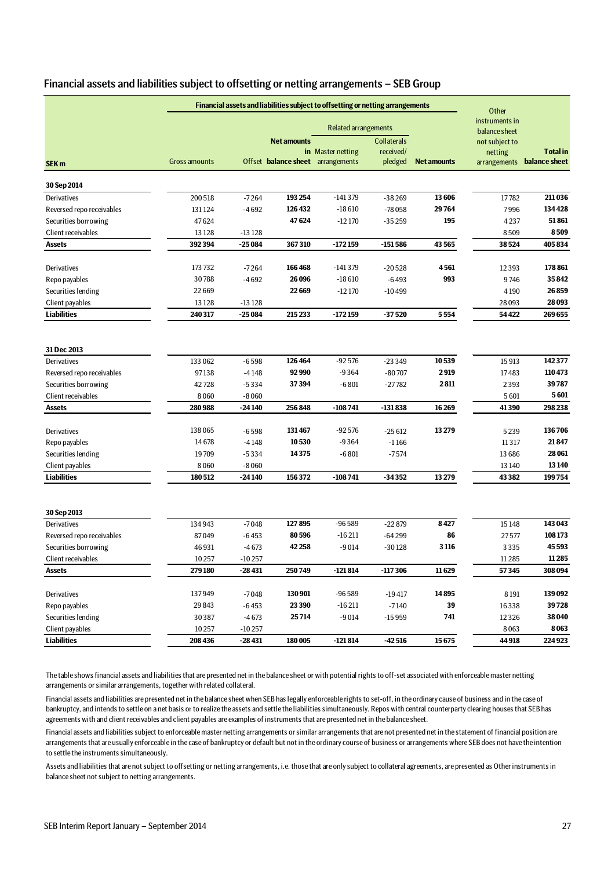| Financial assets and liabilities subject to offsetting or netting arrangements - SEB Group |  |
|--------------------------------------------------------------------------------------------|--|
|--------------------------------------------------------------------------------------------|--|

|                           | Financial assets and liabilities subject to offsetting or netting arrangements | Other    |                                   |                             |                                 |                    |                                 |                            |
|---------------------------|--------------------------------------------------------------------------------|----------|-----------------------------------|-----------------------------|---------------------------------|--------------------|---------------------------------|----------------------------|
|                           |                                                                                |          |                                   | <b>Related arrangements</b> |                                 |                    | instruments in<br>balance sheet |                            |
|                           |                                                                                |          | <b>Net amounts</b>                | in Master netting           | <b>Collaterals</b><br>received/ |                    | not subject to<br>netting       | <b>Total</b> in            |
| SEK <sub>m</sub>          | <b>Gross amounts</b>                                                           |          | Offset balance sheet arrangements |                             | pledged                         | <b>Net amounts</b> |                                 | arrangements balance sheet |
| 30 Sep 2014               |                                                                                |          |                                   |                             |                                 |                    |                                 |                            |
| Derivatives               | 200518                                                                         | $-7264$  | 193254                            | $-141379$                   | $-38269$                        | 13606              | 17782                           | 211036                     |
| Reversed repo receivables | 131124                                                                         | $-4692$  | 126432                            | $-18610$                    | $-78058$                        | 29764              | 7996                            | 134428                     |
| Securities borrowing      | 47624                                                                          |          | 47624                             | $-12170$                    | $-35259$                        | 195                | 4237                            | 51861                      |
| Client receivables        | 13128                                                                          | $-13128$ |                                   |                             |                                 |                    | 8509                            | 8509                       |
| <b>Assets</b>             | 392394                                                                         | $-25084$ | 367310                            | $-172159$                   | $-151586$                       | 43565              | 38524                           | 405834                     |
| Derivatives               | 173732                                                                         | $-7264$  | 166468                            | $-141379$                   | $-20528$                        | 4561               | 12393                           | 178 861                    |
| Repo payables             | 30788                                                                          | $-4692$  | 26 0 96                           | $-18610$                    | $-6493$                         | 993                | 9746                            | 35842                      |
| Securities lending        | 22 6 6 9                                                                       |          | 22669                             | $-12170$                    | -10499                          |                    | 4190                            | 26859                      |
| Client payables           | 13128                                                                          | $-13128$ |                                   |                             |                                 |                    | 28093                           | 28 093                     |
| <b>Liabilities</b>        | 240317                                                                         | $-25084$ | 215233                            | $-172159$                   | $-37520$                        | 5554               | 54422                           | 269655                     |
|                           |                                                                                |          |                                   |                             |                                 |                    |                                 |                            |
| 31 Dec 2013               |                                                                                |          |                                   |                             |                                 |                    |                                 |                            |
| Derivatives               | 133 062                                                                        | $-6598$  | 126464                            | $-92576$                    | $-23349$                        | 10539              | 15913                           | 142377                     |
| Reversed repo receivables | 97138                                                                          | $-4148$  | 92990                             | $-9364$                     | $-80707$                        | 2919               | 17483                           | 110473                     |
| Securities borrowing      | 42728                                                                          | $-5334$  | 37394                             | $-6801$                     | $-27782$                        | 2811               | 2393                            | 39787                      |
| Client receivables        | 8060<br>280988                                                                 | $-8060$  | 256848                            | $-108741$                   | $-131838$                       |                    | 5601<br>41390                   | 5601<br>298 238            |
| <b>Assets</b>             |                                                                                | $-24140$ |                                   |                             |                                 | 16 26 9            |                                 |                            |
| Derivatives               | 138065                                                                         | $-6598$  | 131467                            | $-92576$                    | $-25612$                        | 13279              | 5239                            | 136706                     |
| Repo payables             | 14678                                                                          | $-4148$  | 10530                             | $-9364$                     | $-1166$                         |                    | 11317                           | 21847                      |
| Securities lending        | 19709                                                                          | $-5334$  | 14375                             | $-6801$                     | $-7574$                         |                    | 13 6 8 6                        | 28 061                     |
| Client payables           | 8060                                                                           | $-8060$  |                                   |                             |                                 |                    | 13 140                          | 13140                      |
| <b>Liabilities</b>        | 180512                                                                         | $-24140$ | 156372                            | $-108741$                   | $-34352$                        | 13279              | 43382                           | 199754                     |
| 30 Sep 2013               |                                                                                |          |                                   |                             |                                 |                    |                                 |                            |
| Derivatives               | 134943                                                                         | $-7048$  | 127895                            | $-96589$                    | $-22879$                        | 8427               | 15148                           | 143 043                    |
| Reversed repo receivables | 87049                                                                          | $-6453$  | 80596                             | $-16211$                    | $-64299$                        | 86                 | 27577                           | 108173                     |
| Securities borrowing      | 46931                                                                          | $-4673$  | 42258                             | $-9014$                     | $-30128$                        | 3116               | 3335                            | 45593                      |
| Client receivables        | 10257                                                                          | $-10257$ |                                   |                             |                                 |                    | 11285                           | 11285                      |
| <b>Assets</b>             | 279180                                                                         | $-28431$ | 250749                            | $-121814$                   | $-117306$                       | 11629              | 57345                           | 308 094                    |
|                           |                                                                                |          |                                   |                             |                                 |                    |                                 |                            |
| Derivatives               | 137949                                                                         | $-7048$  | 130901                            | $-96589$                    | $-19417$                        | 14895              | 8191                            | 139092                     |
| Repo payables             | 29843                                                                          | $-6453$  | 23390                             | $-16211$                    | $-7140$                         | 39                 | 16338                           | 39728                      |
| Securities lending        | 30387                                                                          | $-4673$  | 25714                             | $-9014$                     | $-15959$                        | 741                | 12326                           | 38 040                     |
| Client payables           | 10257                                                                          | $-10257$ |                                   |                             |                                 |                    | 8063                            | 8063                       |
| <b>Liabilities</b>        | 208 436                                                                        | $-28431$ | 180005                            | $-121814$                   | $-42516$                        | 15675              | 44 918                          | 224 923                    |

The table shows financial assets and liabilities that are presented net in the balance sheet or with potential rights to off-set associated with enforceable master netting arrangements or similar arrangements, together with related collateral.

Financial assets and liabilities are presented net in the balance sheet when SEB has legally enforceable rights to set-off, in the ordinary cause of business and in the case of bankruptcy, and intends to settle on a net basis or to realize the assets and settle the liabilities simultaneously. Repos with central counterparty clearing houses that SEB has agreements with and client receivables and client payables are examples of instruments that are presented net in the balance sheet.

Financial assets and liabilities subject to enforceable master netting arrangements or similar arrangements that are not presented net in the statement of financial position are arrangements that are usually enforceable in the case of bankruptcy or default but not in the ordinary course of business or arrangements where SEB does not have the intention to settle the instruments simultaneously.

Assets and liabilities that are not subject to offsetting or netting arrangements, i.e. those that are only subject to collateral agreements, are presented as Other instruments in balance sheet not subject to netting arrangements.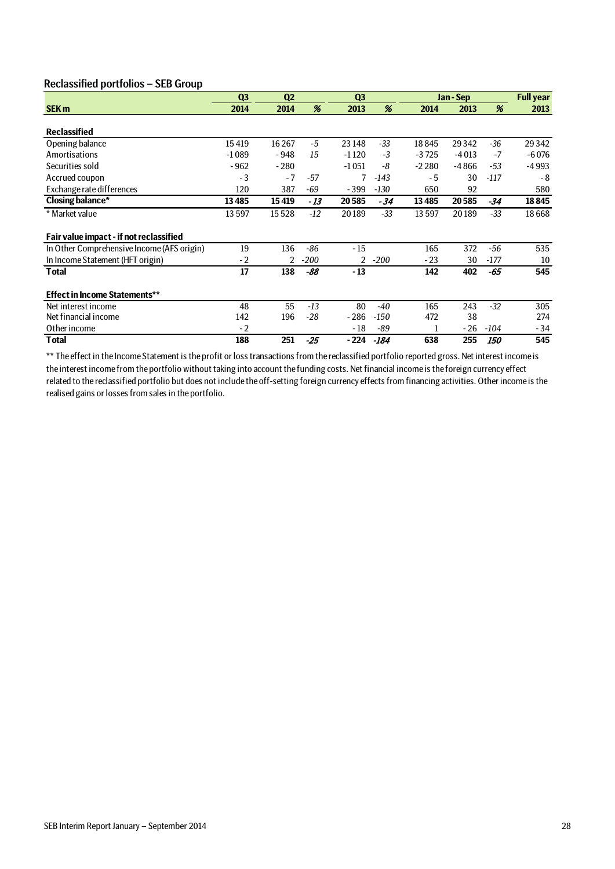# Reclassified portfolios – SEB Group

|                                            | Q <sub>3</sub> | Q <sub>2</sub> |        | Q <sub>3</sub> |        |         | Jan - Sep |            | <b>Full year</b> |
|--------------------------------------------|----------------|----------------|--------|----------------|--------|---------|-----------|------------|------------------|
| <b>SEK m</b>                               | 2014           | 2014           | %      | 2013           | %      | 2014    | 2013      | %          | 2013             |
|                                            |                |                |        |                |        |         |           |            |                  |
| <b>Reclassified</b>                        |                |                |        |                |        |         |           |            |                  |
| Opening balance                            | 15419          | 16267          | $-5$   | 23 148         | $-33$  | 18845   | 29342     | $-36$      | 29342            |
| Amortisations                              | $-1089$        | - 948          | 15     | $-1120$        | $-3$   | $-3725$ | $-4013$   | $-7$       | $-6076$          |
| Securities sold                            | $-962$         | $-280$         |        | $-1051$        | -8     | $-2280$ | $-4866$   | $-53$      | $-4993$          |
| Accrued coupon                             | $-3$           | $-7$           | -57    | 7              | $-143$ | - 5     | 30        | $-117$     | $-8$             |
| Exchange rate differences                  | 120            | 387            | -69    | $-399$         | $-130$ | 650     | 92        |            | 580              |
| <b>Closing balance*</b>                    | 13485          | 15419          | - 13   | 20585          | $-34$  | 13485   | 20585     | -34        | 18845            |
| * Market value                             | 13597          | 15528          | $-12$  | 20189          | -33    | 13597   | 20189     | $-33$      | 18668            |
| Fair value impact - if not reclassified    |                |                |        |                |        |         |           |            |                  |
| In Other Comprehensive Income (AFS origin) | 19             | 136            | $-86$  | $-15$          |        | 165     | 372       | -56        | 535              |
| In Income Statement (HFT origin)           | $-2$           | 2              | $-200$ | $\overline{2}$ | $-200$ | $-23$   | 30        | $-177$     | 10               |
| Total                                      | 17             | 138            | -88    | $-13$          |        | 142     | 402       | -65        | 545              |
| <b>Effect in Income Statements**</b>       |                |                |        |                |        |         |           |            |                  |
| Net interest income                        | 48             | 55             | $-13$  | 80             | -40    | 165     | 243       | $-32$      | 305              |
| Net financial income                       | 142            | 196            | $-28$  | $-286$         | $-150$ | 472     | 38        |            | 274              |
| Other income                               | $-2$           |                |        | $-18$          | -89    |         | - 26      | $-104$     | - 34             |
| Total                                      | 188            | 251            | $-25$  | - 224          | -184   | 638     | 255       | <i>150</i> | 545              |

\*\* The effect in the Income Statement is the profit or loss transactions from the reclassified portfolio reported gross. Net interest income is the interest income from the portfolio without taking into account the funding costs. Net financial income is the foreign currency effect related to the reclassified portfolio but does not include the off-setting foreign currency effects from financing activities. Other income is the realised gains or losses from sales in the portfolio.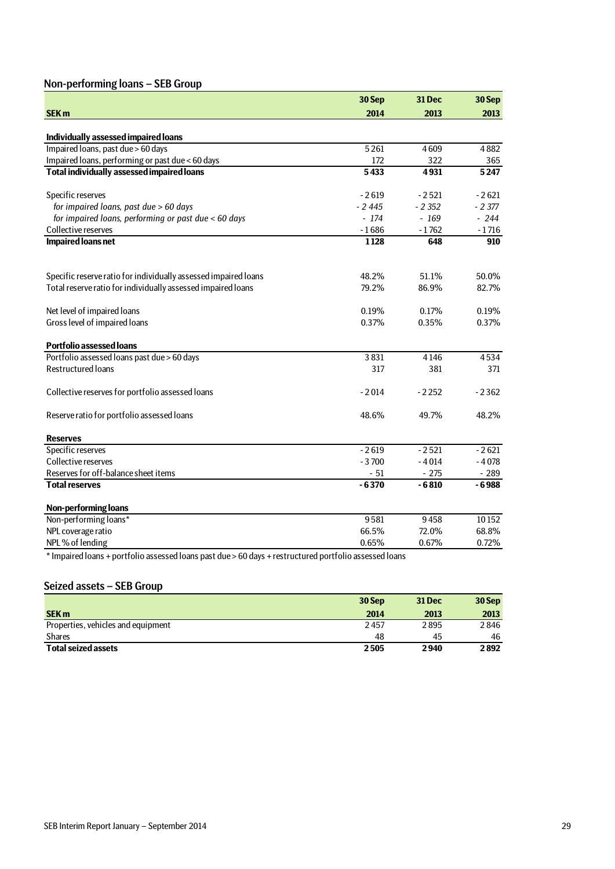# Non-performing loans – SEB Group

|                                                                                                      | 30 Sep  | 31 Dec  | 30 Sep  |
|------------------------------------------------------------------------------------------------------|---------|---------|---------|
| <b>SEK m</b>                                                                                         | 2014    | 2013    | 2013    |
|                                                                                                      |         |         |         |
| Individually assessed impaired loans                                                                 |         |         |         |
| Impaired loans, past due > 60 days                                                                   | 5261    | 4609    | 4882    |
| Impaired loans, performing or past due < 60 days                                                     | 172     | 322     | 365     |
| <b>Total individually assessed impaired loans</b>                                                    | 5433    | 4931    | 5247    |
| Specific reserves                                                                                    | $-2619$ | $-2521$ | $-2621$ |
| for impaired loans, past due > 60 days                                                               | $-2445$ | $-2352$ | $-2377$ |
| for impaired loans, performing or past due < 60 days                                                 | $-174$  | $-169$  | $-244$  |
| Collective reserves                                                                                  | $-1686$ | $-1762$ | $-1716$ |
| <b>Impaired loans net</b>                                                                            | 1128    | 648     | 910     |
| Specific reserve ratio for individually assessed impaired loans                                      | 48.2%   | 51.1%   | 50.0%   |
| Total reserve ratio for individually assessed impaired loans                                         | 79.2%   | 86.9%   | 82.7%   |
|                                                                                                      |         |         |         |
| Net level of impaired loans                                                                          | 0.19%   | 0.17%   | 0.19%   |
| Gross level of impaired loans                                                                        | 0.37%   | 0.35%   | 0.37%   |
|                                                                                                      |         |         |         |
| <b>Portfolio assessed loans</b>                                                                      |         |         |         |
| Portfolio assessed loans past due > 60 days                                                          | 3831    | 4146    | 4534    |
| <b>Restructured loans</b>                                                                            | 317     | 381     | 371     |
| Collective reserves for portfolio assessed loans                                                     | $-2014$ | $-2252$ | $-2362$ |
| Reserve ratio for portfolio assessed loans                                                           | 48.6%   | 49.7%   | 48.2%   |
| <b>Reserves</b>                                                                                      |         |         |         |
| Specific reserves                                                                                    | $-2619$ | $-2521$ | $-2621$ |
| Collective reserves                                                                                  | $-3700$ | $-4014$ | $-4078$ |
| Reserves for off-balance sheet items                                                                 | $-51$   | $-275$  | $-289$  |
| <b>Total reserves</b>                                                                                | $-6370$ | $-6810$ | $-6988$ |
| <b>Non-performing loans</b>                                                                          |         |         |         |
| Non-performing loans*                                                                                | 9581    | 9458    | 10152   |
| NPL coverage ratio                                                                                   | 66.5%   | 72.0%   | 68.8%   |
| NPL% of lending                                                                                      | 0.65%   | 0.67%   | 0.72%   |
| t unnived legac + pertolic accessed legac part due > 60 days + restructured pertfolio accessed legac |         |         |         |

\* Impaired loans + portfolio assessed loans past due > 60 days + restructured portfolio assessed loans

# Seized assets – SEB Group

|                                    | 30 Sep | <b>31 Dec</b> | 30 Sep |
|------------------------------------|--------|---------------|--------|
| <b>SEK m</b>                       | 2014   | 2013          | 2013   |
| Properties, vehicles and equipment | 2457   | 2895          | 2846   |
| <b>Shares</b>                      | 48     | 45            | 46     |
| <b>Total seized assets</b>         | 2505   | 2940          | 2892   |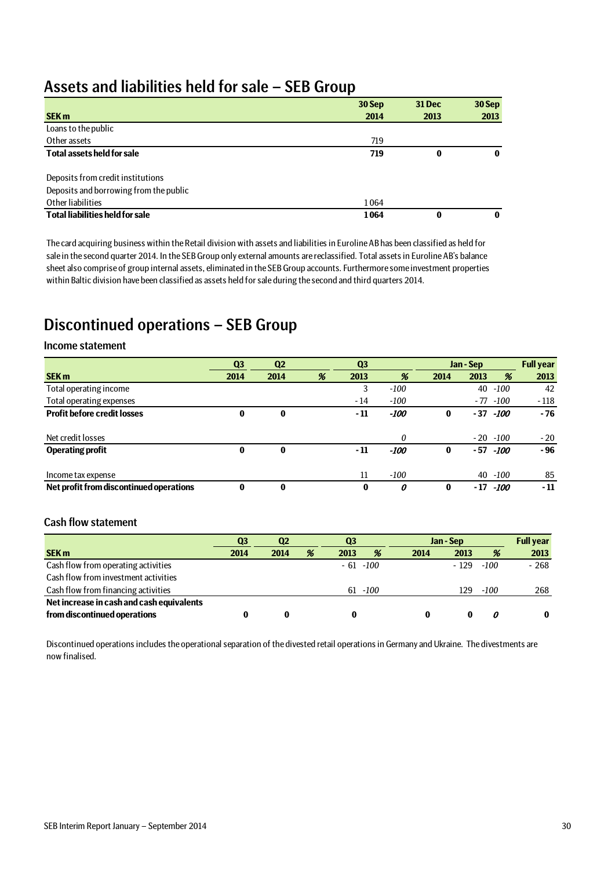# Assets and liabilities held for sale – SEB Group

|                                        | 30 Sep | 31 Dec | 30 Sep   |
|----------------------------------------|--------|--------|----------|
| <b>SEK m</b>                           | 2014   | 2013   | 2013     |
| Loans to the public                    |        |        |          |
| Other assets                           | 719    |        |          |
| <b>Total assets held for sale</b>      | 719    | 0      | $\bf{0}$ |
|                                        |        |        |          |
| Deposits from credit institutions      |        |        |          |
| Deposits and borrowing from the public |        |        |          |
| Other liabilities                      | 1064   |        |          |
| <b>Total liabilities held for sale</b> | 1064   | 0      | $\bf{0}$ |

The card acquiring business within the Retail division with assets and liabilities in Euroline AB has been classified as held for sale in the second quarter 2014. In the SEB Group only external amounts are reclassified. Total assets in Euroline AB's balance sheet also comprise of group internal assets, eliminated in the SEB Group accounts. Furthermore some investment properties within Baltic division have been classified as assets held for sale during the second and third quarters 2014.

# Discontinued operations – SEB Group

## Income statement

|                                         | Q <sub>3</sub> | Q <sub>2</sub> |   | Q <sub>3</sub> |        |          | Jan - Sep |             | <b>Full year</b> |
|-----------------------------------------|----------------|----------------|---|----------------|--------|----------|-----------|-------------|------------------|
| <b>SEK m</b>                            | 2014           | 2014           | % | 2013           | %      | 2014     | 2013      | %           | 2013             |
| Total operating income                  |                |                |   | 3              | $-100$ |          | 40        | $-100$      | 42               |
| Total operating expenses                |                |                |   | $-14$          | $-100$ |          |           | $-77 - 100$ | $-118$           |
| <b>Profit before credit losses</b>      | 0              | 0              |   | $-11$          | -100   | 0        | $-37$     | -100        | $-76$            |
|                                         |                |                |   |                |        |          |           |             |                  |
| Net credit losses                       |                |                |   |                | 0      |          |           | $-20 - 100$ | $-20$            |
| <b>Operating profit</b>                 | $\bf{0}$       | $\bf{0}$       |   | $-11$          | -100   | 0        | - 57      | -100        | - 96             |
|                                         |                |                |   |                |        |          |           |             |                  |
| Income tax expense                      |                |                |   | 11             | $-100$ |          |           | 40 -100     | 85               |
| Net profit from discontinued operations | $\bf{0}$       | $\bf{0}$       |   | $\bf{0}$       | 0      | $\bf{0}$ | - 17      | -100        | $-11$            |

# Cash flow statement

|                                           | Q3   | $\mathbf{Q2}$ |   | Q <sub>3</sub> |             | Jan - Sep |        |        | <b>Full year</b> |
|-------------------------------------------|------|---------------|---|----------------|-------------|-----------|--------|--------|------------------|
| <b>SEK m</b>                              | 2014 | 2014          | % | 2013           | %           | 2014      | 2013   | %      | 2013             |
| Cash flow from operating activities       |      |               |   |                | $-61 - 100$ |           | $-129$ | $-100$ | $-268$           |
| Cash flow from investment activities      |      |               |   |                |             |           |        |        |                  |
| Cash flow from financing activities       |      |               |   |                | $61 - 100$  |           | 129    | $-100$ | 268              |
| Net increase in cash and cash equivalents |      |               |   |                |             |           |        |        |                  |
| from discontinued operations              |      |               |   |                |             | 0         | o      | Ω      | $\mathbf{0}$     |

Discontinued operations includes the operational separation of the divested retail operations in Germany and Ukraine. The divestments are now finalised.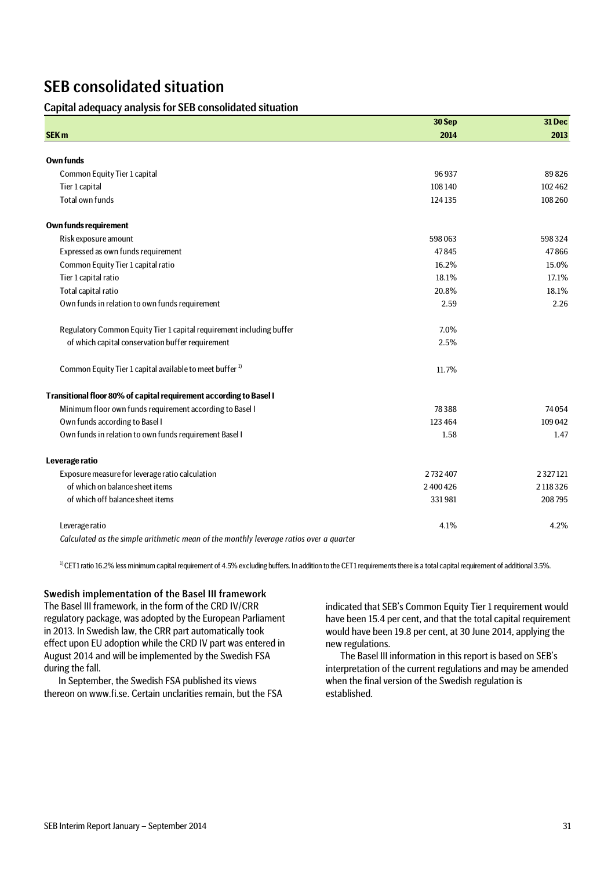# SEB consolidated situation

## Capital adequacy analysis for SEB consolidated situation

|                                                                                        | 30 Sep  | 31 Dec     |
|----------------------------------------------------------------------------------------|---------|------------|
| <b>SEK m</b>                                                                           | 2014    | 2013       |
|                                                                                        |         |            |
| <b>Own funds</b>                                                                       |         |            |
| Common Equity Tier 1 capital                                                           | 96937   | 89826      |
| Tier 1 capital                                                                         | 108140  | 102 462    |
| <b>Total own funds</b>                                                                 | 124135  | 108 260    |
| <b>Own funds requirement</b>                                                           |         |            |
| Risk exposure amount                                                                   | 598063  | 598324     |
| Expressed as own funds requirement                                                     | 47845   | 47866      |
| Common Equity Tier 1 capital ratio                                                     | 16.2%   | 15.0%      |
| Tier 1 capital ratio                                                                   | 18.1%   | 17.1%      |
| Total capital ratio                                                                    | 20.8%   | 18.1%      |
| Own funds in relation to own funds requirement                                         | 2.59    | 2.26       |
| Regulatory Common Equity Tier 1 capital requirement including buffer                   | 7.0%    |            |
| of which capital conservation buffer requirement                                       | 2.5%    |            |
| Common Equity Tier 1 capital available to meet buffer <sup>1)</sup>                    | 11.7%   |            |
| Transitional floor 80% of capital requirement according to Basel I                     |         |            |
| Minimum floor own funds requirement according to Basel I                               | 78388   | 74054      |
| Own funds according to Basel I                                                         | 123 464 | 109 042    |
| Own funds in relation to own funds requirement Basel I                                 | 1.58    | 1.47       |
| Leverage ratio                                                                         |         |            |
| Exposure measure for leverage ratio calculation                                        | 2732407 | 2327121    |
| of which on balance sheet items                                                        | 2400426 | 2 118 3 26 |
| of which off balance sheet items                                                       | 331981  | 208795     |
| Leverage ratio                                                                         | 4.1%    | 4.2%       |
| Calculated as the simple arithmetic mean of the monthly leverage ratios over a quarter |         |            |

<sup>1)</sup> CET1 ratio 16.2% less minimum capital requirement of 4.5% excluding buffers. In addition to the CET1 requirements there is a total capital requirement of additional 3.5%.

### Swedish implementation of the Basel III framework

The Basel III framework, in the form of the CRD IV/CRR regulatory package, was adopted by the European Parliament in 2013. In Swedish law, the CRR part automatically took effect upon EU adoption while the CRD IV part was entered in August 2014 and will be implemented by the Swedish FSA during the fall.

In September, the Swedish FSA published its views thereon on www.fi.se. Certain unclarities remain, but the FSA

indicated that SEB's Common Equity Tier 1 requirement would have been 15.4 per cent, and that the total capital requirement would have been 19.8 per cent, at 30 June 2014, applying the new regulations.

The Basel III information in this report is based on SEB's interpretation of the current regulations and may be amended when the final version of the Swedish regulation is established.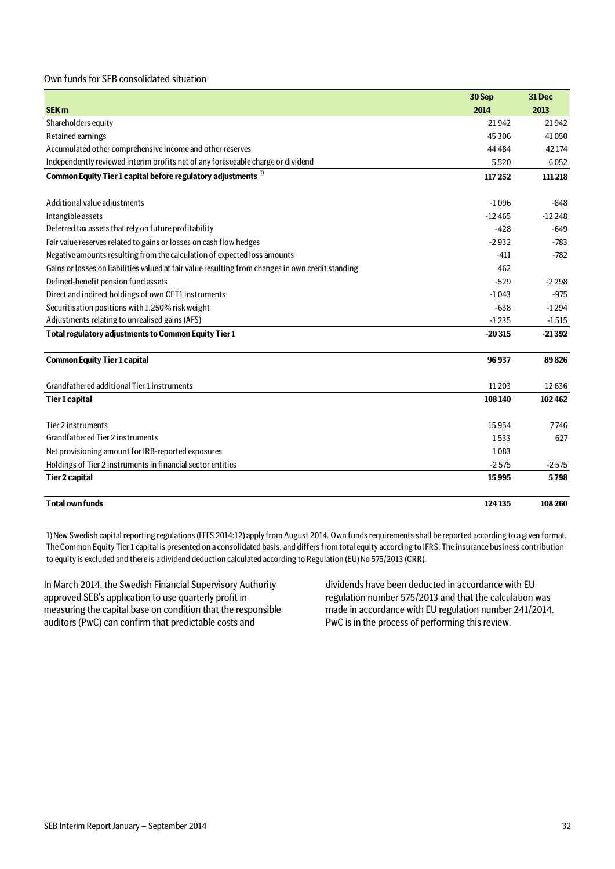### Own funds for SEB consolidated situation

|                                                                                                   | 30 Sep   | 31 Dec   |
|---------------------------------------------------------------------------------------------------|----------|----------|
| <b>SEK m</b>                                                                                      | 2014     | 2013     |
| Shareholders equity                                                                               | 21942    | 21942    |
| Retained earnings                                                                                 | 45306    | 41050    |
| Accumulated other comprehensive income and other reserves                                         | 44 4 84  | 42 174   |
| Independently reviewed interim profits net of any foreseeable charge or dividend                  | 5520     | 6052     |
| Common Equity Tier 1 capital before regulatory adjustments <sup>1)</sup>                          | 117 252  | 111 218  |
| Additional value adjustments                                                                      | $-1096$  | $-848$   |
| Intangible assets                                                                                 | $-12465$ | $-12248$ |
| Deferred tax assets that rely on future profitability                                             | -428     | $-649$   |
| Fair value reserves related to gains or losses on cash flow hedges                                | $-2932$  | $-783$   |
| Negative amounts resulting from the calculation of expected loss amounts                          | $-411$   | $-782$   |
| Gains or losses on liabilities valued at fair value resulting from changes in own credit standing | 462      |          |
| Defined-benefit pension fund assets                                                               | $-529$   | $-2298$  |
| Direct and indirect holdings of own CET1 instruments                                              | $-1043$  | $-975$   |
| Securitisation positions with 1,250% risk weight                                                  | $-638$   | $-1294$  |
| Adjustments relating to unrealised gains (AFS)                                                    | $-1235$  | $-1515$  |
| Total regulatory adjustments to Common Equity Tier 1                                              | $-20315$ | $-21392$ |
| <b>Common Equity Tier 1 capital</b>                                                               | 96937    | 89826    |
| Grandfathered additional Tier 1 instruments                                                       | 11 20 3  | 12636    |
| <b>Tier 1 capital</b>                                                                             | 108 140  | 102462   |
| Tier 2 instruments                                                                                | 15954    | 7746     |
| Grandfathered Tier 2 instruments                                                                  | 1533     | 627      |
| Net provisioning amount for IRB-reported exposures                                                | 1083     |          |
| Holdings of Tier 2 instruments in financial sector entities                                       | $-2575$  | $-2575$  |
| <b>Tier 2 capital</b>                                                                             | 15995    | 5798     |
| <b>Total own funds</b>                                                                            | 124135   | 108 260  |

1) New Swedish capital reporting regulations (FFFS 2014:12) apply from August 2014. Own funds requirements shall be reported according to a given format. The Common Equity Tier 1 capital is presented on a consolidated basis, and differs from total equity according to IFRS. The insurance business contribution to equity is excluded and there is a dividend deduction calculated according to Regulation (EU) No 575/2013 (CRR).

In March 2014, the Swedish Financial Supervisory Authority approved SEB's application to use quarterly profit in measuring the capital base on condition that the responsible auditors (PwC) can confirm that predictable costs and

dividends have been deducted in accordance with EU regulation number 575/2013 and that the calculation was made in accordance with EU regulation number 241/2014. PwC is in the process of performing this review.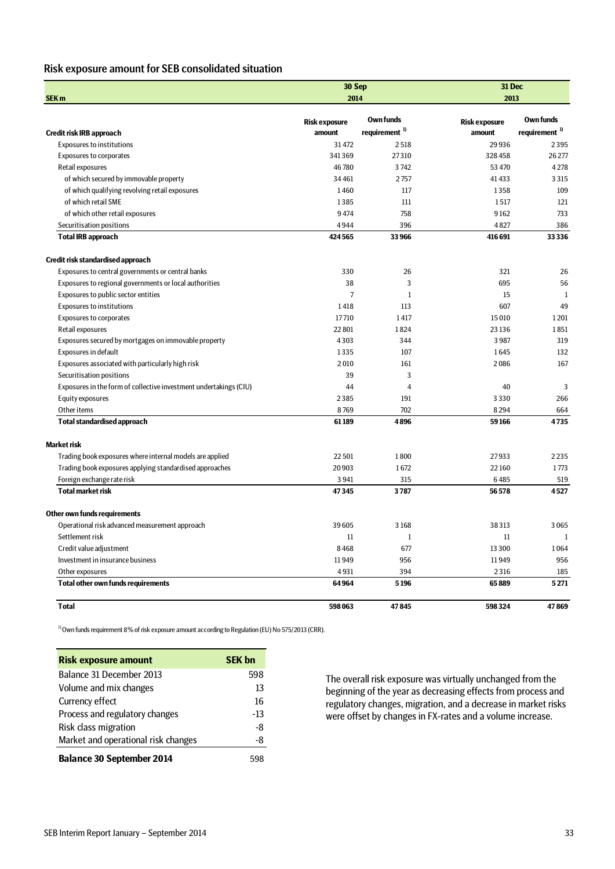# Risk exposure amount for SEB consolidated situation

| SEK <sub>m</sub>                                                  | 30 Sep<br>2014       |                                               | 31 Dec<br>2013       |                                        |  |
|-------------------------------------------------------------------|----------------------|-----------------------------------------------|----------------------|----------------------------------------|--|
|                                                                   | <b>Risk exposure</b> | <b>Own funds</b><br>requirement <sup>1)</sup> | <b>Risk exposure</b> | Own funds<br>requirement <sup>1)</sup> |  |
| Credit risk IRB approach                                          | amount               |                                               | amount               |                                        |  |
| <b>Exposures to institutions</b>                                  | 31472                | 2518                                          | 29936                | 2395                                   |  |
| <b>Exposures to corporates</b>                                    | 341369               | 27310                                         | 328458               | 26 277                                 |  |
| Retail exposures                                                  | 46780                | 3742                                          | 53 470               | 4278                                   |  |
| of which secured by immovable property                            | 34461                | 2757                                          | 41 433               | 3315                                   |  |
| of which qualifying revolving retail exposures                    | 1460                 | 117                                           | 1358                 | 109                                    |  |
| of which retail SME                                               | 1385                 | 111                                           | 1517                 | 121                                    |  |
| of which other retail exposures                                   | 9474                 | 758                                           | 9162                 | 733                                    |  |
| Securitisation positions                                          | 4944                 | 396                                           | 4827                 | 386                                    |  |
| <b>Total IRB approach</b>                                         | 424565               | 33 966                                        | 416 691              | 33336                                  |  |
| Credit risk standardised approach                                 |                      |                                               |                      |                                        |  |
| Exposures to central governments or central banks                 | 330                  | 26                                            | 321                  | 26                                     |  |
| Exposures to regional governments or local authorities            | 38                   | 3                                             | 695                  | 56                                     |  |
| Exposures to public sector entities                               | $\overline{7}$       | $\mathbf{1}$                                  | 15                   | $\mathbf{1}$                           |  |
| <b>Exposures to institutions</b>                                  | 1418                 | 113                                           | 607                  | 49                                     |  |
| <b>Exposures to corporates</b>                                    | 17710                | 1417                                          | 15010                | 1201                                   |  |
| Retail exposures                                                  | 22801                | 1824                                          | 23 136               | 1851                                   |  |
| Exposures secured by mortgages on immovable property              | 4303                 | 344                                           | 3987                 | 319                                    |  |
| Exposures in default                                              | 1335                 | 107                                           | 1645                 | 132                                    |  |
| Exposures associated with particularly high risk                  | 2010                 | 161                                           | 2086                 | 167                                    |  |
| Securitisation positions                                          | 39                   | 3                                             |                      |                                        |  |
| Exposures in the form of collective investment undertakings (CIU) | 44                   | $\overline{4}$                                | 40                   | 3                                      |  |
| Equity exposures                                                  | 2385                 | 191                                           | 3330                 | 266                                    |  |
| Other items                                                       | 8769                 | 702                                           | 8294                 | 664                                    |  |
| <b>Total standardised approach</b>                                | 61189                | 4896                                          | 59166                | 4735                                   |  |
| <b>Market risk</b>                                                |                      |                                               |                      |                                        |  |
| Trading book exposures where internal models are applied          | 22501                | 1800                                          | 27933                | 2235                                   |  |
| Trading book exposures applying standardised approaches           | 20903                | 1672                                          | 22160                | 1773                                   |  |
| Foreign exchange rate risk                                        | 3941                 | 315                                           | 6485                 | 519                                    |  |
| <b>Total market risk</b>                                          | 47345                | 3787                                          | 56578                | 4527                                   |  |
| Other own funds requirements                                      |                      |                                               |                      |                                        |  |
| Operational risk advanced measurement approach                    | 39605                | 3168                                          | 38313                | 3065                                   |  |
| Settlement risk                                                   | 11                   | $\mathbf{1}$                                  | 11                   | $\mathbf{1}$                           |  |
| Credit value adjustment                                           | 8468                 | 677                                           | 13 300               | 1064                                   |  |
| Investment in insurance business                                  | 11949                | 956                                           | 11949                | 956                                    |  |
| Other exposures                                                   | 4931                 | 394                                           | 2316                 | 185                                    |  |
| <b>Total other own funds requirements</b>                         | 64964                | 5196                                          | 65889                | 5271                                   |  |
| <b>Total</b>                                                      | 598063               | 47845                                         | 598324               | 47869                                  |  |

<sup>1)</sup> Own funds requirement 8% of risk exposure amount according to Regulation (EU) No 575/2013 (CRR).

| <b>Risk exposure amount</b>         | <b>SEK bn</b> |
|-------------------------------------|---------------|
| Balance 31 December 2013            | 598           |
| Volume and mix changes              | 13            |
| <b>Currency effect</b>              | 16            |
| Process and regulatory changes      | $-13$         |
| Risk class migration                | -8            |
| Market and operational risk changes | -8            |
| <b>Balance 30 September 2014</b>    |               |

The overall risk exposure was virtually unchanged from the beginning of the year as decreasing effects from process and regulatory changes, migration, and a decrease in market risks were offset by changes in FX-rates and a volume increase.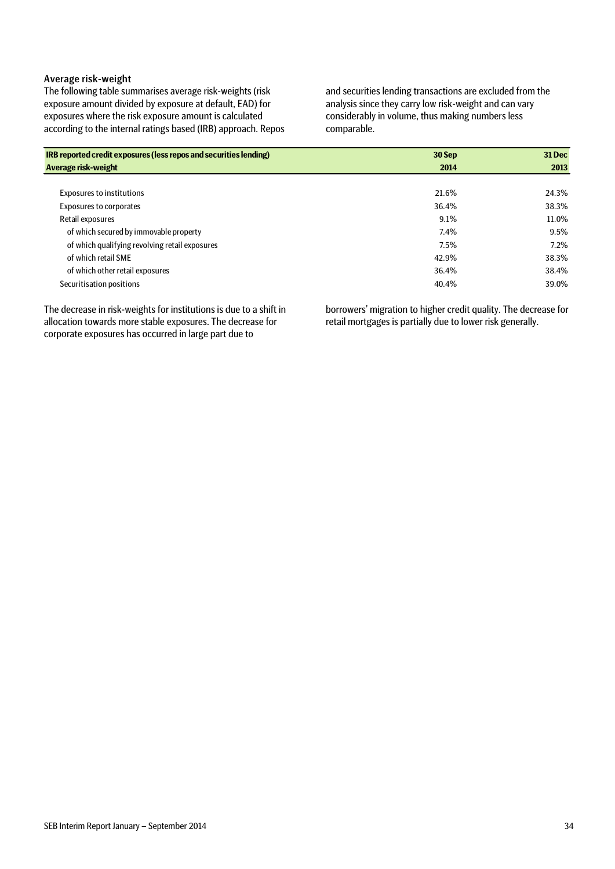## Average risk-weight

The following table summarises average risk-weights (risk exposure amount divided by exposure at default, EAD) for exposures where the risk exposure amount is calculated according to the internal ratings based (IRB) approach. Repos and securities lending transactions are excluded from the analysis since they carry low risk-weight and can vary considerably in volume, thus making numbers less comparable.

| IRB reported credit exposures (less repos and securities lending) | 30 Sep | <b>31 Dec</b> |
|-------------------------------------------------------------------|--------|---------------|
| Average risk-weight                                               | 2014   | 2013          |
|                                                                   |        |               |
| <b>Exposures to institutions</b>                                  | 21.6%  | 24.3%         |
| <b>Exposures to corporates</b>                                    | 36.4%  | 38.3%         |
| Retail exposures                                                  | 9.1%   | 11.0%         |
| of which secured by immovable property                            | 7.4%   | 9.5%          |
| of which qualifying revolving retail exposures                    | 7.5%   | 7.2%          |
| of which retail SME                                               | 42.9%  | 38.3%         |
| of which other retail exposures                                   | 36.4%  | 38.4%         |
| Securitisation positions                                          | 40.4%  | 39.0%         |

The decrease in risk-weights for institutions is due to a shift in allocation towards more stable exposures. The decrease for corporate exposures has occurred in large part due to

borrowers' migration to higher credit quality. The decrease for retail mortgages is partially due to lower risk generally.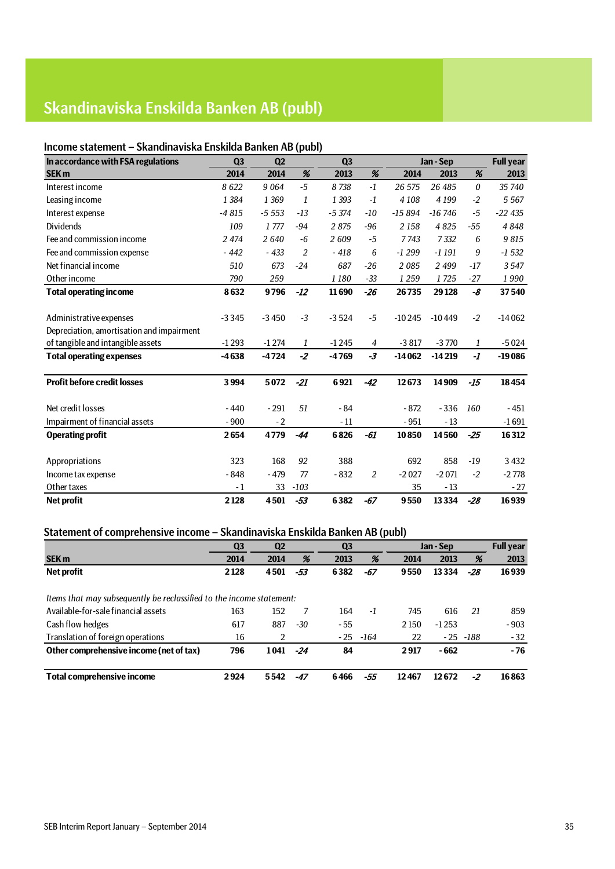# Skandinaviska Enskilda Banken AB (publ)

# Income statement – Skandinaviska Enskilda Banken AB (publ)

| In accordance with FSA regulations        | Q <sub>3</sub> | Q <sub>2</sub> |                | Q <sub>3</sub> |                |          | Jan - Sep |                       | <b>Full year</b> |
|-------------------------------------------|----------------|----------------|----------------|----------------|----------------|----------|-----------|-----------------------|------------------|
| <b>SEK m</b>                              | 2014           | 2014           | %              | 2013           | %              | 2014     | 2013      | %                     | 2013             |
| Interest income                           | 8622           | 9 0 64         | $-5$           | 8738           | $-1$           | 26 575   | 26 485    | $\boldsymbol{\theta}$ | 35 740           |
| Leasing income                            | 1 3 8 4        | 1 3 6 9        | 1              | 1 3 9 3        | $-1$           | 4 1 0 8  | 4 1 9 9   | $-2$                  | 5 5 6 7          |
| Interest expense                          | $-4815$        | $-5553$        | $-13$          | $-5374$        | $-10$          | $-15894$ | $-16746$  | $-5$                  | $-22435$         |
| <b>Dividends</b>                          | 109            | 1777           | $-94$          | 2875           | $-96$          | 2 1 5 8  | 4825      | $-55$                 | 4848             |
| Fee and commission income                 | 2 4 7 4        | 2640           | $-6$           | 2609           | $-5$           | 7743     | 7332      | 6                     | 9815             |
| Fee and commission expense                | $-442$         | $-433$         | $\overline{2}$ | $-418$         | 6              | $-1299$  | $-1191$   | 9                     | $-1532$          |
| Net financial income                      | 510            | 673            | $-24$          | 687            | $-26$          | 2085     | 2 4 9 9   | -17                   | 3547             |
| Other income                              | 790            | 259            |                | 1 1 8 0        | $-33$          | 1 2 5 9  | 1725      | -27                   | 1990             |
| <b>Total operating income</b>             | 8632           | 9796           | $-12$          | 11690          | $-26$          | 26735    | 29 1 28   | -8                    | 37540            |
|                                           |                |                |                |                |                |          |           |                       |                  |
| Administrative expenses                   | $-3345$        | $-3450$        | $-3$           | $-3524$        | $-5$           | $-10245$ | $-10449$  | $-2$                  | $-14062$         |
| Depreciation, amortisation and impairment |                |                |                |                |                |          |           |                       |                  |
| of tangible and intangible assets         | $-1293$        | $-1274$        | 1              | $-1245$        | $\overline{4}$ | $-3817$  | $-3770$   | 1                     | $-5024$          |
| <b>Total operating expenses</b>           | $-4638$        | $-4724$        | $-2$           | $-4769$        | $-3$           | $-14062$ | $-14219$  | $-I$                  | $-19086$         |
|                                           |                |                |                |                |                |          |           |                       |                  |
| <b>Profit before credit losses</b>        | 3994           | 5072           | $-21$          | 6921           | $-42$          | 12673    | 14909     | $-15$                 | 18454            |
|                                           |                |                |                |                |                |          |           |                       |                  |
| Net credit losses                         | $-440$         | $-291$         | 51             | $-84$          |                | $-872$   | $-336$    | 160                   | $-451$           |
| Impairment of financial assets            | $-900$         | $-2$           |                | $-11$          |                | $-951$   | $-13$     |                       | $-1691$          |
| <b>Operating profit</b>                   | 2654           | 4779           | $-44$          | 6826           | $-61$          | 10850    | 14560     | $-25$                 | 16312            |
|                                           |                |                |                |                |                |          |           |                       |                  |
| Appropriations                            | 323            | 168            | 92             | 388            |                | 692      | 858       | $-19$                 | 3432             |
| Income tax expense                        | $-848$         | $-479$         | 77             | $-832$         | 2              | $-2027$  | $-2071$   | $-2$                  | $-2778$          |
| Other taxes                               | $-1$           | 33             | $-103$         |                |                | 35       | $-13$     |                       | - 27             |
| <b>Net profit</b>                         | 2128           | 4501           | $-53$          | 6382           | $-67$          | 9550     | 13334     | $-28$                 | 16939            |

# Statement of comprehensive income – Skandinaviska Enskilda Banken AB (publ)

|                                                                      | Q <sub>3</sub> | Q <sub>2</sub> |       | Q <sub>3</sub> |        |       | Jan - Sep |      | <b>Full year</b> |
|----------------------------------------------------------------------|----------------|----------------|-------|----------------|--------|-------|-----------|------|------------------|
| <b>SEK m</b>                                                         | 2014           | 2014           | %     | 2013           | %      | 2014  | 2013      | %    | 2013             |
| Net profit                                                           | 2128           | 4501           | -53   | 6382           | -67    | 9550  | 13334     | -28  | 16939            |
|                                                                      |                |                |       |                |        |       |           |      |                  |
| Items that may subsequently be reclassified to the income statement: |                |                |       |                |        |       |           |      |                  |
| Available-for-sale financial assets                                  | 163            | 152            |       | 164            | $-1$   | 745   | 616       | 21   | 859              |
| Cash flow hedges                                                     | 617            | 887            | $-30$ | - 55           |        | 2150  | $-1253$   |      | $-903$           |
| Translation of foreign operations                                    | 16             |                |       | - 25           | $-164$ | 22    | $-25$     | -188 | $-32$            |
| Other comprehensive income (net of tax)                              | 796            | 1041           | -24   | 84             |        | 2917  | $-662$    |      | $-76$            |
| Total comprehensive income                                           | 2924           | 5542           | -47   | 6466           | -55    | 12467 | 12672     | -2   | 16863            |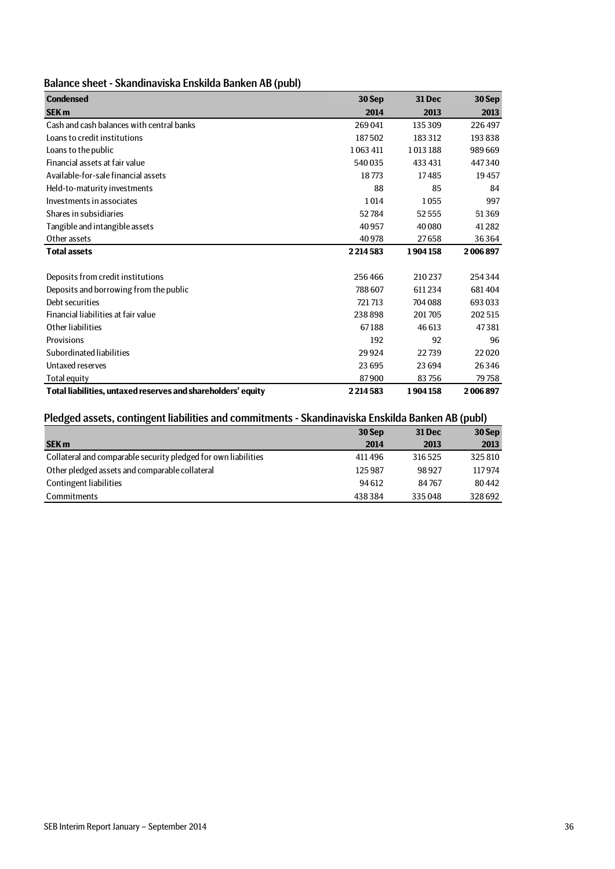# Balance sheet - Skandinaviska Enskilda Banken AB (publ)

| <b>Condensed</b>                                             | 30 Sep  | <b>31 Dec</b> | 30 Sep   |
|--------------------------------------------------------------|---------|---------------|----------|
| <b>SEK m</b>                                                 | 2014    | 2013          | 2013     |
| Cash and cash balances with central banks                    | 269041  | 135309        | 226497   |
| Loans to credit institutions                                 | 187502  | 183312        | 193838   |
| Loans to the public                                          | 1063411 | 1013188       | 989669   |
| Financial assets at fair value                               | 540035  | 433 431       | 447340   |
| Available-for-sale financial assets                          | 18773   | 17485         | 19457    |
| Held-to-maturity investments                                 | 88      | 85            | 84       |
| Investments in associates                                    | 1014    | 1055          | 997      |
| Shares in subsidiaries                                       | 52784   | 52555         | 51369    |
| Tangible and intangible assets                               | 40957   | 40 080        | 41 2 8 2 |
| Other assets                                                 | 40978   | 27658         | 36364    |
| <b>Total assets</b>                                          | 2214583 | 1904158       | 2006897  |
|                                                              |         |               |          |
| Deposits from credit institutions                            | 256466  | 210237        | 254344   |
| Deposits and borrowing from the public                       | 788607  | 611234        | 681404   |
| Debt securities                                              | 721713  | 704 088       | 693 033  |
| Financial liabilities at fair value                          | 238898  | 201705        | 202515   |
| Other liabilities                                            | 67188   | 46 613        | 47381    |
| Provisions                                                   | 192     | 92            | 96       |
| Subordinated liabilities                                     | 29924   | 22739         | 22020    |
| Untaxed reserves                                             | 23695   | 23 6 94       | 26346    |
| <b>Total equity</b>                                          | 87900   | 83756         | 79758    |
| Total liabilities, untaxed reserves and shareholders' equity | 2214583 | 1904158       | 2006897  |

# Pledged assets, contingent liabilities and commitments - Skandinaviska Enskilda Banken AB (publ)

| Piedged assets, contingent habilities and commitments - Skandinaviska Enskilda Banken AB (publ) |         |               |        |  |  |
|-------------------------------------------------------------------------------------------------|---------|---------------|--------|--|--|
|                                                                                                 | 30 Sep  | <b>31 Dec</b> | 30 Sep |  |  |
| <b>SEK m</b>                                                                                    | 2014    | 2013          | 2013   |  |  |
| Collateral and comparable security pledged for own liabilities                                  | 411496  | 316525        | 325810 |  |  |
| Other pledged assets and comparable collateral                                                  | 125 987 | 98927         | 117974 |  |  |
| Contingent liabilities                                                                          | 94 612  | 84767         | 80442  |  |  |
| <b>Commitments</b>                                                                              | 438384  | 335048        | 328692 |  |  |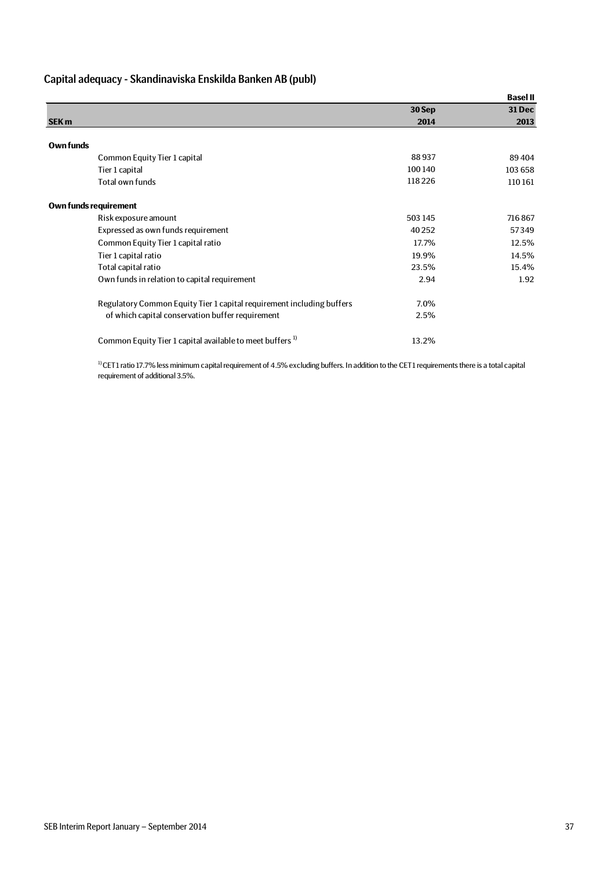# Capital adequacy - Skandinaviska Enskilda Banken AB (publ)

|                                                                       |         | <b>Basel II</b> |
|-----------------------------------------------------------------------|---------|-----------------|
|                                                                       | 30 Sep  | <b>31 Dec</b>   |
| <b>SEK m</b>                                                          | 2014    | 2013            |
|                                                                       |         |                 |
| Own funds                                                             |         |                 |
| Common Equity Tier 1 capital                                          | 88937   | 89404           |
| Tier 1 capital                                                        | 100140  | 103 658         |
| Total own funds                                                       | 118226  | 110161          |
| Own funds requirement                                                 |         |                 |
| Risk exposure amount                                                  | 503 145 | 716867          |
| Expressed as own funds requirement                                    | 40 25 2 | 57349           |
| Common Equity Tier 1 capital ratio                                    | 17.7%   | 12.5%           |
| Tier 1 capital ratio                                                  | 19.9%   | 14.5%           |
| Total capital ratio                                                   | 23.5%   | 15.4%           |
| Own funds in relation to capital requirement                          | 2.94    | 1.92            |
| Regulatory Common Equity Tier 1 capital requirement including buffers | 7.0%    |                 |
| of which capital conservation buffer requirement                      | 2.5%    |                 |
| Common Equity Tier 1 capital available to meet buffers <sup>1)</sup>  | 13.2%   |                 |

<sup>1)</sup> CET1 ratio 17.7% less minimum capital requirement of 4.5% excluding buffers. In addition to the CET1 requirements there is a total capital requirement of additional 3.5%.